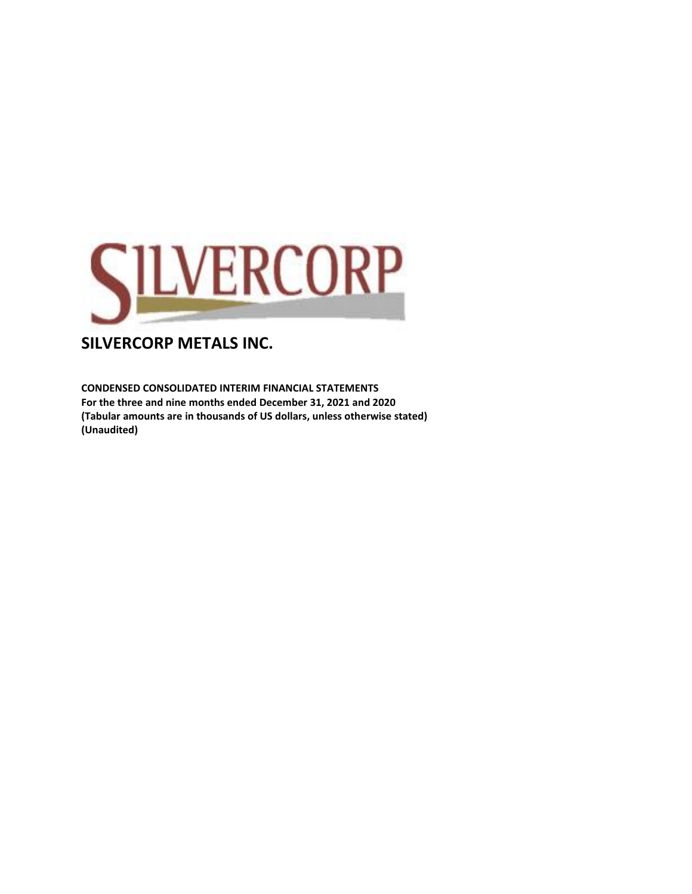

**CONDENSED CONSOLIDATED INTERIM FINANCIAL STATEMENTS For the three and nine months ended December 31, 2021 and 2020 (Tabular amounts are in thousands of US dollars, unless otherwise stated) (Unaudited)**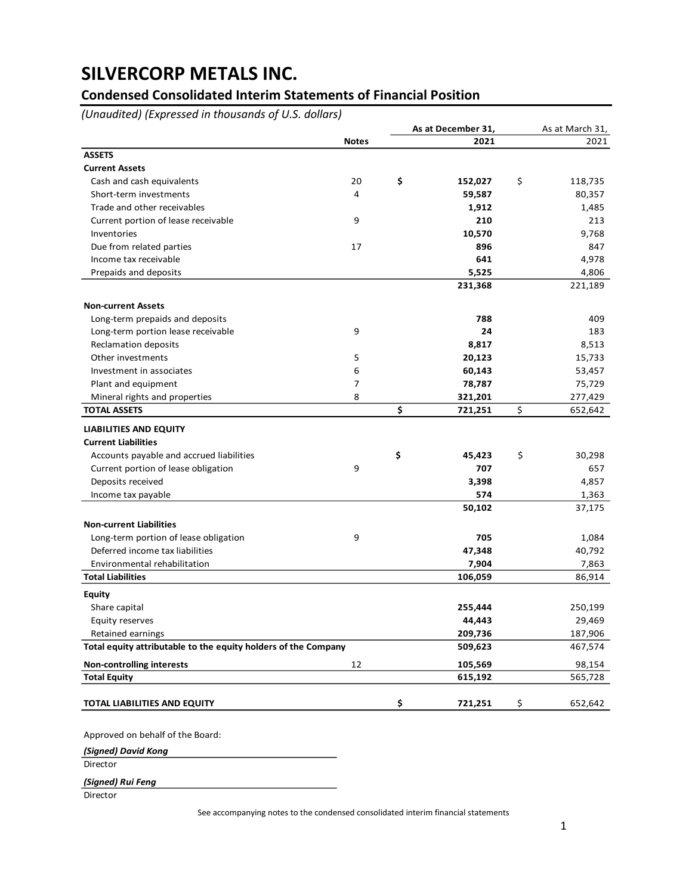### **Condensed Consolidated Interim Statements of Financial Position**

*(Unaudited) (Expressed in thousands of U.S. dollars)*

|                                                                |              | As at December 31, |         | As at March 31, |  |
|----------------------------------------------------------------|--------------|--------------------|---------|-----------------|--|
|                                                                | <b>Notes</b> |                    | 2021    | 2021            |  |
| <b>ASSETS</b>                                                  |              |                    |         |                 |  |
| <b>Current Assets</b>                                          |              |                    |         |                 |  |
| Cash and cash equivalents                                      | 20           | \$                 | 152,027 | \$<br>118,735   |  |
| Short-term investments                                         | 4            |                    | 59,587  | 80,357          |  |
| Trade and other receivables                                    |              |                    | 1,912   | 1,485           |  |
| Current portion of lease receivable                            | 9            |                    | 210     | 213             |  |
| Inventories                                                    |              |                    | 10,570  | 9,768           |  |
| Due from related parties                                       | 17           |                    | 896     | 847             |  |
| Income tax receivable                                          |              |                    | 641     | 4,978           |  |
| Prepaids and deposits                                          |              |                    | 5,525   | 4,806           |  |
|                                                                |              |                    | 231,368 | 221,189         |  |
| <b>Non-current Assets</b>                                      |              |                    |         |                 |  |
| Long-term prepaids and deposits                                |              |                    | 788     | 409             |  |
| Long-term portion lease receivable                             | 9            |                    | 24      | 183             |  |
| <b>Reclamation deposits</b>                                    |              |                    | 8,817   | 8,513           |  |
| Other investments                                              | 5            |                    | 20,123  | 15,733          |  |
| Investment in associates                                       | 6            |                    | 60,143  | 53,457          |  |
|                                                                | 7            |                    |         |                 |  |
| Plant and equipment                                            | 8            |                    | 78,787  | 75,729          |  |
| Mineral rights and properties<br><b>TOTAL ASSETS</b>           |              | \$                 | 321,201 | \$<br>277,429   |  |
|                                                                |              |                    | 721,251 | 652,642         |  |
| <b>LIABILITIES AND EQUITY</b>                                  |              |                    |         |                 |  |
| <b>Current Liabilities</b>                                     |              |                    |         |                 |  |
| Accounts payable and accrued liabilities                       |              | \$                 | 45,423  | \$<br>30,298    |  |
| Current portion of lease obligation                            | 9            |                    | 707     | 657             |  |
| Deposits received                                              |              |                    | 3,398   | 4,857           |  |
| Income tax payable                                             |              |                    | 574     | 1,363           |  |
|                                                                |              |                    | 50,102  | 37,175          |  |
| <b>Non-current Liabilities</b>                                 |              |                    |         |                 |  |
| Long-term portion of lease obligation                          | 9            |                    | 705     | 1,084           |  |
| Deferred income tax liabilities                                |              |                    | 47,348  | 40,792          |  |
| Environmental rehabilitation                                   |              |                    | 7,904   | 7,863           |  |
| <b>Total Liabilities</b>                                       |              |                    | 106,059 | 86,914          |  |
| <b>Equity</b>                                                  |              |                    |         |                 |  |
| Share capital                                                  |              |                    | 255,444 | 250,199         |  |
| Equity reserves                                                |              |                    | 44,443  | 29,469          |  |
| Retained earnings                                              |              |                    | 209,736 | 187,906         |  |
| Total equity attributable to the equity holders of the Company |              |                    | 509,623 | 467,574         |  |
| <b>Non-controlling interests</b>                               | 12           |                    | 105,569 | 98,154          |  |
| <b>Total Equity</b>                                            |              |                    | 615,192 | 565,728         |  |
|                                                                |              |                    |         | \$<br>652,642   |  |

*(Signed) David Kong*

**Director** 

*(Signed) Rui Feng*

**Director** 

See accompanying notes to the condensed consolidated interim financial statements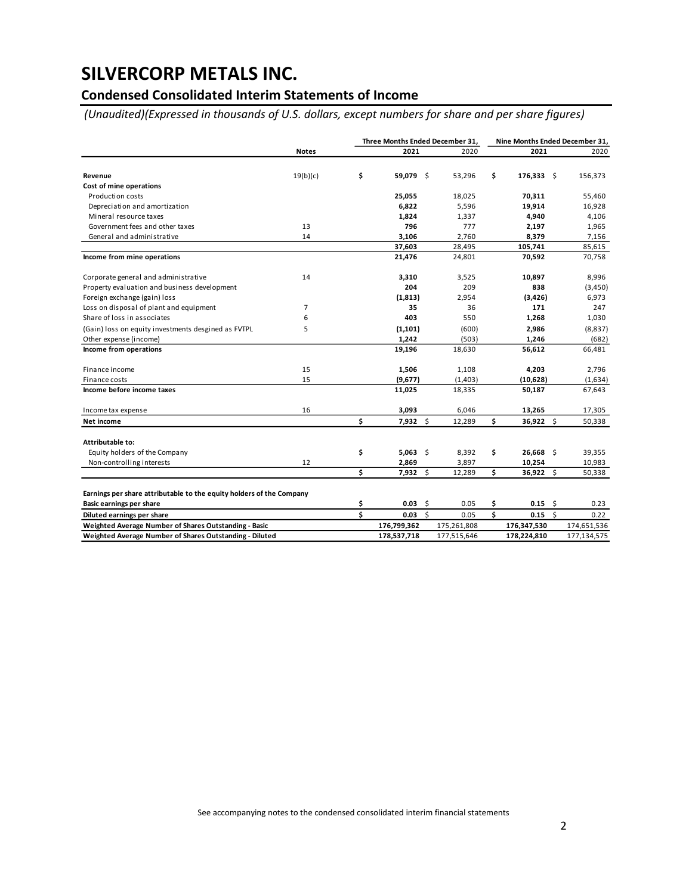### **Condensed Consolidated Interim Statements of Income**

*(Unaudited)(Expressed in thousands of U.S. dollars, except numbers for share and per share figures)*

|                                                                      |                | Three Months Ended December 31, |                 |          |             | Nine Months Ended December 31, |              |              |             |  |
|----------------------------------------------------------------------|----------------|---------------------------------|-----------------|----------|-------------|--------------------------------|--------------|--------------|-------------|--|
|                                                                      | <b>Notes</b>   |                                 | 2021            |          | 2020        |                                | 2021         |              | 2020        |  |
| Revenue                                                              | 19(b)(c)       | \$                              | 59,079 \$       |          | 53,296      | \$                             | $176,333$ \$ |              | 156,373     |  |
| Cost of mine operations                                              |                |                                 |                 |          |             |                                |              |              |             |  |
| Production costs                                                     |                |                                 | 25,055          |          | 18,025      |                                | 70,311       |              | 55,460      |  |
| Depreciation and amortization                                        |                |                                 | 6,822           |          | 5,596       |                                | 19,914       |              | 16,928      |  |
| Mineral resource taxes                                               |                |                                 | 1,824           |          | 1,337       |                                | 4,940        |              | 4,106       |  |
| Government fees and other taxes                                      | 13             |                                 | 796             |          | 777         |                                | 2,197        |              | 1,965       |  |
| General and administrative                                           | 14             |                                 | 3,106           |          | 2,760       |                                | 8,379        |              | 7,156       |  |
|                                                                      |                |                                 | 37,603          |          | 28,495      |                                | 105,741      |              | 85,615      |  |
| Income from mine operations                                          |                |                                 | 21,476          |          | 24,801      |                                | 70,592       |              | 70,758      |  |
| Corporate general and administrative                                 | 14             |                                 | 3,310           |          | 3,525       |                                | 10,897       |              | 8,996       |  |
| Property evaluation and business development                         |                |                                 | 204             |          | 209         |                                | 838          |              | (3, 450)    |  |
| Foreign exchange (gain) loss                                         |                |                                 | (1,813)         |          | 2,954       |                                | (3, 426)     |              | 6,973       |  |
| Loss on disposal of plant and equipment                              | $\overline{7}$ |                                 | 35              |          | 36          |                                | 171          |              | 247         |  |
| Share of loss in associates                                          | 6              |                                 | 403             |          | 550         |                                | 1,268        |              | 1,030       |  |
| (Gain) loss on equity investments desgined as FVTPL                  | 5              |                                 | (1, 101)        |          | (600)       |                                | 2,986        |              | (8, 837)    |  |
| Other expense (income)                                               |                |                                 | 1,242           |          | (503)       |                                | 1,246        |              | (682)       |  |
| Income from operations                                               |                |                                 | 19,196          |          | 18,630      |                                | 56,612       |              | 66,481      |  |
| Finance income                                                       | 15             |                                 | 1,506           |          | 1,108       |                                | 4,203        |              | 2,796       |  |
| Finance costs                                                        | 15             |                                 | (9,677)         |          | (1,403)     |                                | (10, 628)    |              | (1,634)     |  |
| Income before income taxes                                           |                |                                 | 11,025          |          | 18,335      |                                | 50,187       |              | 67,643      |  |
| Income tax expense                                                   | 16             |                                 | 3,093           |          | 6,046       |                                | 13,265       |              | 17,305      |  |
| Net income                                                           |                | \$                              | $7,932$ \$      |          | 12,289      | \$                             | 36,922 \$    |              | 50,338      |  |
| Attributable to:                                                     |                |                                 |                 |          |             |                                |              |              |             |  |
| Equity holders of the Company                                        |                | \$                              | $5,063$ \$      |          | 8,392       | \$                             | $26,668$ \$  |              | 39,355      |  |
| Non-controlling interests                                            | 12             |                                 | 2,869           |          | 3,897       |                                | 10,254       |              | 10,983      |  |
|                                                                      |                | \$                              | $7,932 \quad $$ |          | 12,289      | \$                             | 36,922 \$    |              | 50,338      |  |
| Earnings per share attributable to the equity holders of the Company |                |                                 |                 |          |             |                                |              |              |             |  |
| Basic earnings per share                                             |                | \$                              | 0.03            | -\$      | 0.05        | \$                             | $0.15$ \$    |              | 0.23        |  |
| Diluted earnings per share                                           |                | \$                              | 0.03            | <b>S</b> | 0.05        | \$                             | 0.15         | $\mathsf{S}$ | 0.22        |  |
| Weighted Average Number of Shares Outstanding - Basic                |                |                                 | 176,799,362     |          | 175,261,808 |                                | 176,347,530  |              | 174,651,536 |  |
| Weighted Average Number of Shares Outstanding - Diluted              |                |                                 | 178,537,718     |          | 177,515,646 |                                | 178,224,810  |              | 177,134,575 |  |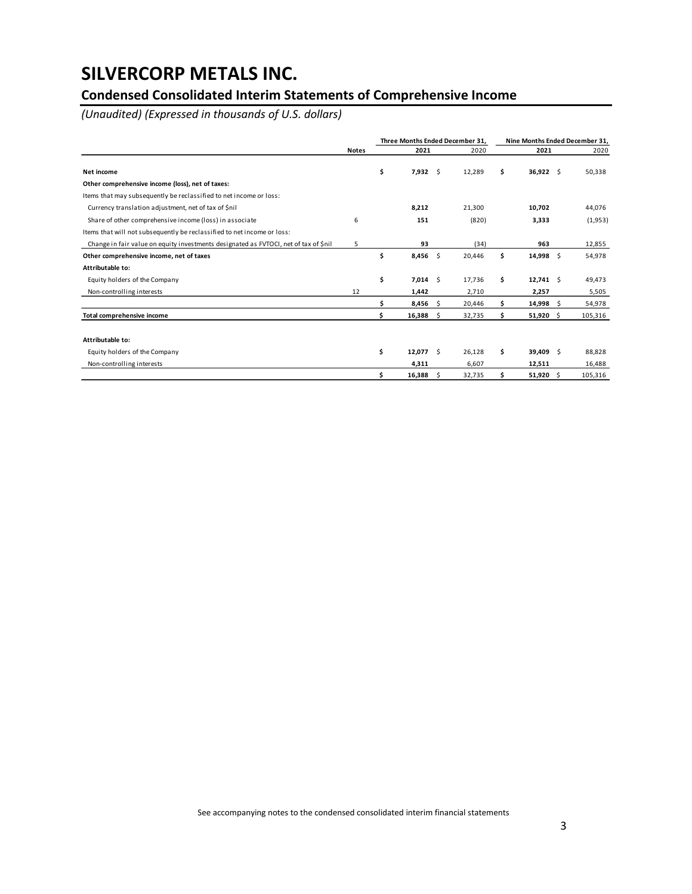### **Condensed Consolidated Interim Statements of Comprehensive Income**

*(Unaudited) (Expressed in thousands of U.S. dollars)*

|                                                                                      |              |                       |     | Three Months Ended December 31. |    |             | Nine Months Ended December 31, |
|--------------------------------------------------------------------------------------|--------------|-----------------------|-----|---------------------------------|----|-------------|--------------------------------|
|                                                                                      | <b>Notes</b> | 2021                  |     | 2020                            |    | 2021        | 2020                           |
| Net income                                                                           |              | \$<br>$7,932 \quad $$ |     | 12,289                          | \$ | $36,922$ \$ | 50,338                         |
| Other comprehensive income (loss), net of taxes:                                     |              |                       |     |                                 |    |             |                                |
| Items that may subsequently be reclassified to net income or loss:                   |              |                       |     |                                 |    |             |                                |
| Currency translation adjustment, net of tax of \$nil                                 |              | 8,212                 |     | 21,300                          |    | 10,702      | 44,076                         |
| Share of other comprehensive income (loss) in associate                              | 6            | 151                   |     | (820)                           |    | 3,333       | (1,953)                        |
| Items that will not subsequently be reclassified to net income or loss:              |              |                       |     |                                 |    |             |                                |
| Change in fair value on equity investments designated as FVTOCI, net of tax of \$nil | 5            | 93                    |     | (34)                            |    | 963         | 12,855                         |
| Other comprehensive income, net of taxes                                             |              | \$<br>$8,456$ \$      |     | 20,446                          | \$ | $14,998$ \$ | 54,978                         |
| Attributable to:                                                                     |              |                       |     |                                 |    |             |                                |
| Equity holders of the Company                                                        |              | \$<br>$7,014$ \$      |     | 17,736                          | \$ | $12,741$ \$ | 49,473                         |
| Non-controlling interests                                                            | 12           | 1,442                 |     | 2,710                           |    | 2,257       | 5,505                          |
|                                                                                      |              | \$<br>$8,456$ \$      |     | 20,446                          | Ś  | $14,998$ \$ | 54,978                         |
| Total comprehensive income                                                           |              | \$<br>16,388          | S.  | 32,735                          | \$ | $51,920$ \$ | 105,316                        |
|                                                                                      |              |                       |     |                                 |    |             |                                |
| Attributable to:                                                                     |              |                       |     |                                 |    |             |                                |
| Equity holders of the Company                                                        |              | \$<br>$12,077$ \$     |     | 26,128                          | \$ | 39,409 \$   | 88,828                         |
| Non-controlling interests                                                            |              | 4,311                 |     | 6,607                           |    | 12,511      | 16,488                         |
|                                                                                      |              | \$<br>16,388          | \$. | 32,735                          | \$ | 51,920 \$   | 105,316                        |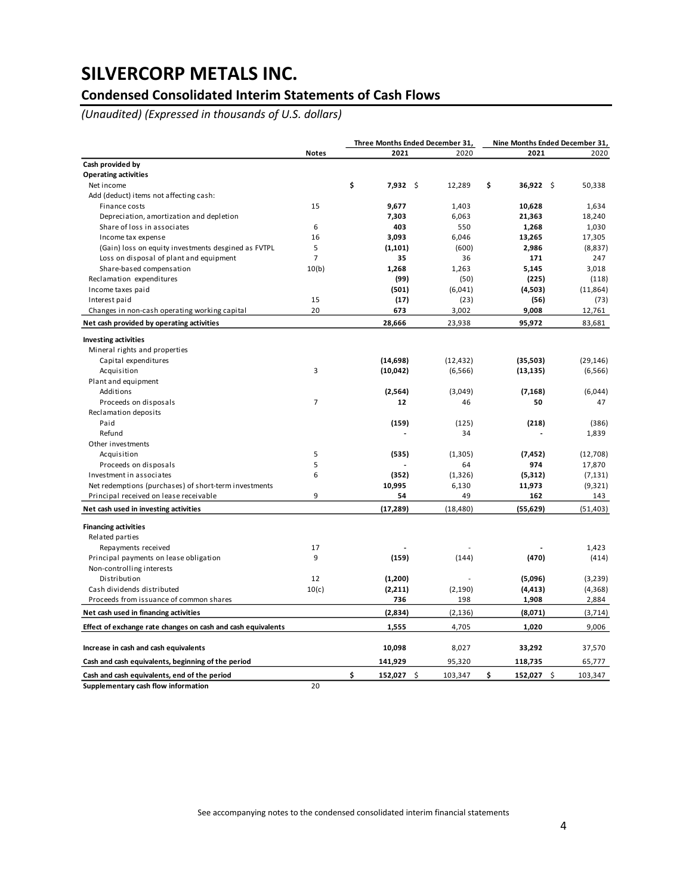### **Condensed Consolidated Interim Statements of Cash Flows**

*(Unaudited) (Expressed in thousands of U.S. dollars)*

|                                                              |                |                  | Three Months Ended December 31, |                   | Nine Months Ended December 31, |           |  |
|--------------------------------------------------------------|----------------|------------------|---------------------------------|-------------------|--------------------------------|-----------|--|
|                                                              | <b>Notes</b>   | 2021             | 2020                            | 2021              |                                | 2020      |  |
| Cash provided by                                             |                |                  |                                 |                   |                                |           |  |
| <b>Operating activities</b>                                  |                |                  |                                 |                   |                                |           |  |
| Net income                                                   |                | \$<br>$7,932$ \$ | 12,289                          | \$<br>$36,922$ \$ |                                | 50,338    |  |
| Add (deduct) items not affecting cash:                       |                |                  |                                 |                   |                                |           |  |
| Finance costs                                                | 15             | 9,677            | 1,403                           | 10,628            |                                | 1,634     |  |
| Depreciation, amortization and depletion                     |                | 7,303            | 6,063                           | 21,363            |                                | 18,240    |  |
| Share of loss in associates                                  | 6              | 403              | 550                             | 1,268             |                                | 1,030     |  |
| Income tax expense                                           | 16             | 3.093            | 6,046                           | 13,265            |                                | 17,305    |  |
| (Gain) loss on equity investments desgined as FVTPL          | 5              | (1, 101)         | (600)                           | 2,986             |                                | (8,837)   |  |
| Loss on disposal of plant and equipment                      | $\overline{7}$ | 35               | 36                              | 171               |                                | 247       |  |
| Share-based compensation                                     | 10(b)          | 1,268            | 1,263                           | 5,145             |                                | 3,018     |  |
| Reclamation expenditures                                     |                | (99)             | (50)                            | (225)             |                                | (118)     |  |
| Income taxes paid                                            |                | (501)            | (6,041)                         | (4,503)           |                                | (11, 864) |  |
| Interest paid                                                | 15             | (17)             | (23)                            | (56)              |                                | (73)      |  |
| Changes in non-cash operating working capital                | 20             | 673              | 3,002                           | 9,008             |                                | 12,761    |  |
| Net cash provided by operating activities                    |                | 28,666           | 23,938                          | 95,972            |                                | 83,681    |  |
| <b>Investing activities</b>                                  |                |                  |                                 |                   |                                |           |  |
| Mineral rights and properties                                |                |                  |                                 |                   |                                |           |  |
| Capital expenditures                                         |                | (14, 698)        | (12, 432)                       | (35,503)          |                                | (29, 146) |  |
| Acquisition                                                  | 3              | (10, 042)        | (6, 566)                        | (13, 135)         |                                | (6, 566)  |  |
| Plant and equipment                                          |                |                  |                                 |                   |                                |           |  |
| Additions                                                    |                | (2, 564)         | (3,049)                         | (7, 168)          |                                | (6,044)   |  |
| Proceeds on disposals                                        | $\overline{7}$ | 12               | 46                              | 50                |                                | 47        |  |
| Reclamation deposits                                         |                |                  |                                 |                   |                                |           |  |
| Paid                                                         |                | (159)            | (125)                           | (218)             |                                | (386)     |  |
| Refund                                                       |                |                  | 34                              |                   |                                | 1,839     |  |
| Other investments                                            |                |                  |                                 |                   |                                |           |  |
| Acquisition                                                  | 5              | (535)            | (1,305)                         | (7, 452)          |                                | (12,708)  |  |
| Proceeds on disposals                                        | 5              |                  | 64                              | 974               |                                | 17,870    |  |
| Investment in associates                                     | 6              | (352)            | (1, 326)                        | (5,312)           |                                | (7, 131)  |  |
| Net redemptions (purchases) of short-term investments        |                | 10,995           | 6,130                           | 11,973            |                                | (9,321)   |  |
| Principal received on lease receivable                       | 9              | 54               | 49                              | 162               |                                | 143       |  |
| Net cash used in investing activities                        |                | (17, 289)        | (18, 480)                       | (55, 629)         |                                | (51, 403) |  |
|                                                              |                |                  |                                 |                   |                                |           |  |
| <b>Financing activities</b>                                  |                |                  |                                 |                   |                                |           |  |
| Related parties                                              |                |                  |                                 |                   |                                |           |  |
| Repayments received                                          | 17             |                  |                                 |                   |                                | 1,423     |  |
| Principal payments on lease obligation                       | 9              | (159)            | (144)                           | (470)             |                                | (414)     |  |
| Non-controlling interests                                    |                |                  |                                 |                   |                                |           |  |
| Distribution                                                 | 12             | (1,200)          |                                 | (5,096)           |                                | (3,239)   |  |
| Cash dividends distributed                                   | 10(c)          | (2,211)          | (2, 190)                        | (4, 413)          |                                | (4, 368)  |  |
| Proceeds from issuance of common shares                      |                | 736              | 198                             | 1,908             |                                | 2,884     |  |
| Net cash used in financing activities                        |                | (2,834)          | (2, 136)                        | (8,071)           |                                | (3, 714)  |  |
| Effect of exchange rate changes on cash and cash equivalents |                | 1,555            | 4,705                           | 1,020             |                                | 9,006     |  |
| Increase in cash and cash equivalents                        |                | 10,098           | 8,027                           | 33,292            |                                | 37,570    |  |
| Cash and cash equivalents, beginning of the period           |                | 141,929          | 95,320                          | 118,735           |                                | 65,777    |  |
| Cash and cash equivalents, end of the period                 |                | \$<br>152,027    | \$<br>103,347                   | \$<br>152,027     | \$                             | 103,347   |  |
| Supplementary cash flow information                          | 20             |                  |                                 |                   |                                |           |  |

See accompanying notes to the condensed consolidated interim financial statements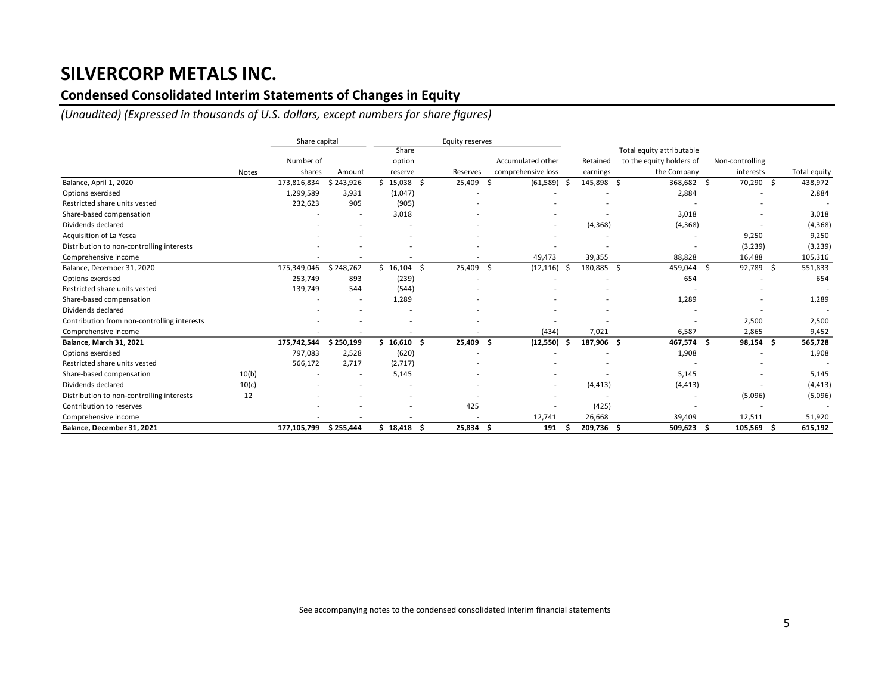### **Condensed Consolidated Interim Statements of Changes in Equity**

*(Unaudited) (Expressed in thousands of U.S. dollars, except numbers for share figures)*

|                                             |              | Share capital |           |              | Equity reserves  |                    |            |                           |                 |                 |
|---------------------------------------------|--------------|---------------|-----------|--------------|------------------|--------------------|------------|---------------------------|-----------------|-----------------|
|                                             |              |               |           | Share        |                  |                    |            | Total equity attributable |                 |                 |
|                                             |              | Number of     |           | option       |                  | Accumulated other  | Retained   | to the equity holders of  | Non-controlling |                 |
|                                             | <b>Notes</b> | shares        | Amount    | reserve      | Reserves         | comprehensive loss | earnings   | the Company               | interests       | Total equity    |
| Balance, April 1, 2020                      |              | 173,816,834   | \$243,926 | 15,038       | 25,409<br>- \$   | (61, 589)<br>Ŝ.    | 145,898 \$ | 368,682                   | 70,290<br>-S    | 438,972<br>- \$ |
| Options exercised                           |              | 1,299,589     | 3,931     | (1,047)      |                  |                    |            | 2,884                     |                 | 2,884           |
| Restricted share units vested               |              | 232,623       | 905       | (905)        |                  |                    |            |                           |                 |                 |
| Share-based compensation                    |              |               |           | 3,018        |                  |                    |            | 3,018                     |                 | 3,018           |
| Dividends declared                          |              |               |           |              |                  | $\blacksquare$     | (4,368)    | (4,368)                   |                 | (4,368)         |
| Acquisition of La Yesca                     |              |               |           |              |                  |                    |            |                           | 9,250           | 9,250           |
| Distribution to non-controlling interests   |              |               |           |              |                  |                    |            |                           | (3, 239)        | (3, 239)        |
| Comprehensive income                        |              |               |           |              |                  | 49,473             | 39,355     | 88,828                    | 16,488          | 105,316         |
| Balance, December 31, 2020                  |              | 175,349,046   | \$248,762 | $$16,104$ \$ | 25,409           | (12, 116)<br>- \$  | 180,885 \$ | 459,044 \$                | 92,789 \$       | 551,833         |
| Options exercised                           |              | 253,749       | 893       | (239)        |                  |                    |            | 654                       |                 | 654             |
| Restricted share units vested               |              | 139,749       | 544       | (544)        |                  |                    |            |                           |                 |                 |
| Share-based compensation                    |              |               |           | 1,289        |                  |                    |            | 1,289                     |                 | 1,289           |
| Dividends declared                          |              |               |           |              |                  |                    |            |                           |                 |                 |
| Contribution from non-controlling interests |              |               |           |              |                  |                    |            |                           | 2,500           | 2,500           |
| Comprehensive income                        |              |               |           |              |                  | (434)              | 7,021      | 6,587                     | 2,865           | 9,452           |
| Balance, March 31, 2021                     |              | 175,742,544   | \$250,199 | \$16.610S    | 25,409           | (12, 550)<br>- Ś   | 187,906 \$ | 467,574 \$                | 98,154 \$       | 565,728         |
| Options exercised                           |              | 797,083       | 2,528     | (620)        |                  |                    |            | 1,908                     |                 | 1,908           |
| Restricted share units vested               |              | 566,172       | 2,717     | (2,717)      |                  |                    |            |                           |                 |                 |
| Share-based compensation                    | 10(b)        |               |           | 5,145        |                  |                    |            | 5,145                     |                 | 5,145           |
| Dividends declared                          | 10(c)        |               |           |              |                  | $\blacksquare$     | (4, 413)   | (4, 413)                  |                 | (4, 413)        |
| Distribution to non-controlling interests   | 12           |               |           |              |                  |                    |            |                           | (5,096)         | (5,096)         |
| Contribution to reserves                    |              |               |           |              | 425              |                    | (425)      |                           |                 |                 |
| Comprehensive income                        |              |               |           |              |                  | 12,741             | 26,668     | 39,409                    | 12,511          | 51,920          |
| Balance, December 31, 2021                  |              | 177,105,799   | \$255,444 | \$18,418     | 25,834 \$<br>- Ś | 191                | 209,736 \$ | 509,623                   | 105,569         | 615,192<br>-S   |

See accompanying notes to the condensed consolidated interim financial statements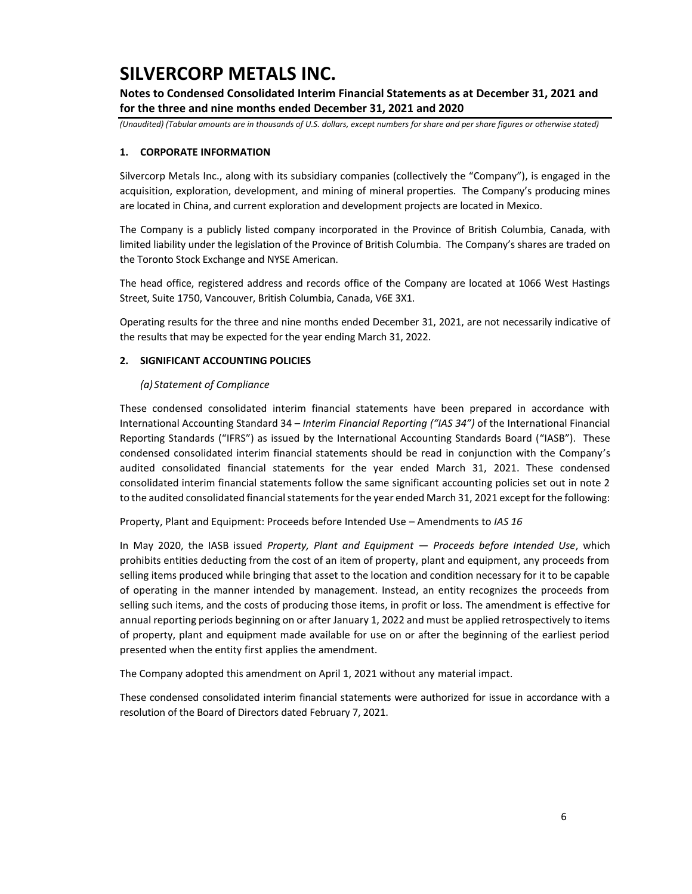**Notes to Condensed Consolidated Interim Financial Statements as at December 31, 2021 and for the three and nine months ended December 31, 2021 and 2020**

*(Unaudited) (Tabular amounts are in thousands of U.S. dollars, except numbers for share and per share figures or otherwise stated)*

### **1. CORPORATE INFORMATION**

Silvercorp Metals Inc., along with its subsidiary companies (collectively the "Company"), is engaged in the acquisition, exploration, development, and mining of mineral properties. The Company's producing mines are located in China, and current exploration and development projects are located in Mexico.

The Company is a publicly listed company incorporated in the Province of British Columbia, Canada, with limited liability under the legislation of the Province of British Columbia. The Company's shares are traded on the Toronto Stock Exchange and NYSE American.

The head office, registered address and records office of the Company are located at 1066 West Hastings Street, Suite 1750, Vancouver, British Columbia, Canada, V6E 3X1.

Operating results for the three and nine months ended December 31, 2021, are not necessarily indicative of the results that may be expected for the year ending March 31, 2022.

### **2. SIGNIFICANT ACCOUNTING POLICIES**

### *(a) Statement of Compliance*

These condensed consolidated interim financial statements have been prepared in accordance with International Accounting Standard 34 – *Interim Financial Reporting ("IAS 34")* of the International Financial Reporting Standards ("IFRS") as issued by the International Accounting Standards Board ("IASB"). These condensed consolidated interim financial statements should be read in conjunction with the Company's audited consolidated financial statements for the year ended March 31, 2021. These condensed consolidated interim financial statements follow the same significant accounting policies set out in note 2 to the audited consolidated financial statements for the year ended March 31, 2021 except for the following:

Property, Plant and Equipment: Proceeds before Intended Use – Amendments to *IAS 16*

In May 2020, the IASB issued *Property, Plant and Equipment — Proceeds before Intended Use*, which prohibits entities deducting from the cost of an item of property, plant and equipment, any proceeds from selling items produced while bringing that asset to the location and condition necessary for it to be capable of operating in the manner intended by management. Instead, an entity recognizes the proceeds from selling such items, and the costs of producing those items, in profit or loss. The amendment is effective for annual reporting periods beginning on or after January 1, 2022 and must be applied retrospectively to items of property, plant and equipment made available for use on or after the beginning of the earliest period presented when the entity first applies the amendment.

The Company adopted this amendment on April 1, 2021 without any material impact.

These condensed consolidated interim financial statements were authorized for issue in accordance with a resolution of the Board of Directors dated February 7, 2021.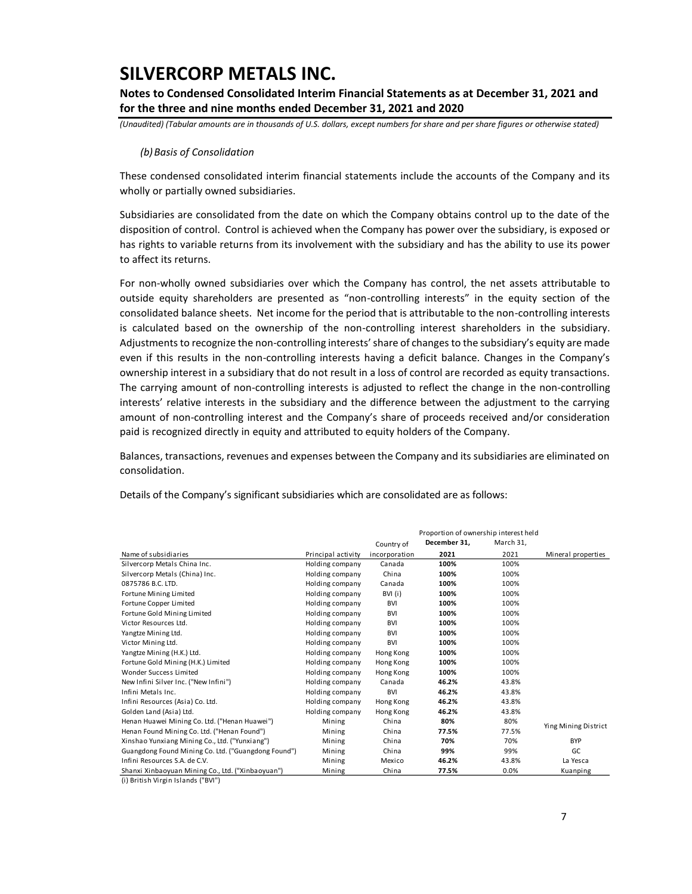**Notes to Condensed Consolidated Interim Financial Statements as at December 31, 2021 and for the three and nine months ended December 31, 2021 and 2020**

*(Unaudited) (Tabular amounts are in thousands of U.S. dollars, except numbers for share and per share figures or otherwise stated)*

#### *(b)Basis of Consolidation*

These condensed consolidated interim financial statements include the accounts of the Company and its wholly or partially owned subsidiaries.

Subsidiaries are consolidated from the date on which the Company obtains control up to the date of the disposition of control. Control is achieved when the Company has power over the subsidiary, is exposed or has rights to variable returns from its involvement with the subsidiary and has the ability to use its power to affect its returns.

For non-wholly owned subsidiaries over which the Company has control, the net assets attributable to outside equity shareholders are presented as "non-controlling interests" in the equity section of the consolidated balance sheets. Net income for the period that is attributable to the non-controlling interests is calculated based on the ownership of the non-controlling interest shareholders in the subsidiary. Adjustments to recognize the non-controlling interests' share of changes to the subsidiary's equity are made even if this results in the non-controlling interests having a deficit balance. Changes in the Company's ownership interest in a subsidiary that do not result in a loss of control are recorded as equity transactions. The carrying amount of non-controlling interests is adjusted to reflect the change in the non-controlling interests' relative interests in the subsidiary and the difference between the adjustment to the carrying amount of non-controlling interest and the Company's share of proceeds received and/or consideration paid is recognized directly in equity and attributed to equity holders of the Company.

Balances, transactions, revenues and expenses between the Company and its subsidiaries are eliminated on consolidation.

|                                                     |                    | Proportion of ownership interest held |              |           |                      |  |  |
|-----------------------------------------------------|--------------------|---------------------------------------|--------------|-----------|----------------------|--|--|
|                                                     |                    | Country of                            | December 31, | March 31, |                      |  |  |
| Name of subsidiaries                                | Principal activity | incorporation                         | 2021         | 2021      | Mineral properties   |  |  |
| Silvercorp Metals China Inc.                        | Holding company    | Canada                                | 100%         | 100%      |                      |  |  |
| Silvercorp Metals (China) Inc.                      | Holding company    | China                                 | 100%         | 100%      |                      |  |  |
| 0875786 B.C. LTD.                                   | Holding company    | Canada                                | 100%         | 100%      |                      |  |  |
| Fortune Mining Limited                              | Holding company    | BVI (i)                               | 100%         | 100%      |                      |  |  |
| Fortune Copper Limited                              | Holding company    | <b>BVI</b>                            | 100%         | 100%      |                      |  |  |
| Fortune Gold Mining Limited                         | Holding company    | <b>BVI</b>                            | 100%         | 100%      |                      |  |  |
| Victor Resources Ltd.                               | Holding company    | <b>BVI</b>                            | 100%         | 100%      |                      |  |  |
| Yangtze Mining Ltd.                                 | Holding company    | <b>BVI</b>                            | 100%         | 100%      |                      |  |  |
| Victor Mining Ltd.                                  | Holding company    | <b>BVI</b>                            | 100%         | 100%      |                      |  |  |
| Yangtze Mining (H.K.) Ltd.                          | Holding company    | Hong Kong                             | 100%         | 100%      |                      |  |  |
| Fortune Gold Mining (H.K.) Limited                  | Holding company    | Hong Kong                             | 100%         | 100%      |                      |  |  |
| Wonder Success Limited                              | Holding company    | Hong Kong                             | 100%         | 100%      |                      |  |  |
| New Infini Silver Inc. ("New Infini")               | Holding company    | Canada                                | 46.2%        | 43.8%     |                      |  |  |
| Infini Metals Inc.                                  | Holding company    | <b>BVI</b>                            | 46.2%        | 43.8%     |                      |  |  |
| Infini Resources (Asia) Co. Ltd.                    | Holding company    | Hong Kong                             | 46.2%        | 43.8%     |                      |  |  |
| Golden Land (Asia) Ltd.                             | Holding company    | Hong Kong                             | 46.2%        | 43.8%     |                      |  |  |
| Henan Huawei Mining Co. Ltd. ("Henan Huawei")       | Mining             | China                                 | 80%          | 80%       | Ying Mining District |  |  |
| Henan Found Mining Co. Ltd. ("Henan Found")         | Mining             | China                                 | 77.5%        | 77.5%     |                      |  |  |
| Xinshao Yunxiang Mining Co., Ltd. ("Yunxiang")      | Mining             | China                                 | 70%          | 70%       | <b>BYP</b>           |  |  |
| Guangdong Found Mining Co. Ltd. ("Guangdong Found") | Mining             | China                                 | 99%          | 99%       | GC                   |  |  |
| Infini Resources S.A. de C.V.                       | Mining             | Mexico                                | 46.2%        | 43.8%     | La Yesca             |  |  |
| Shanxi Xinbaoyuan Mining Co., Ltd. ("Xinbaoyuan")   | Mining             | China                                 | 77.5%        | 0.0%      | Kuanping             |  |  |

Details of the Company's significant subsidiaries which are consolidated are as follows:

(i) British Virgin Islands ("BVI")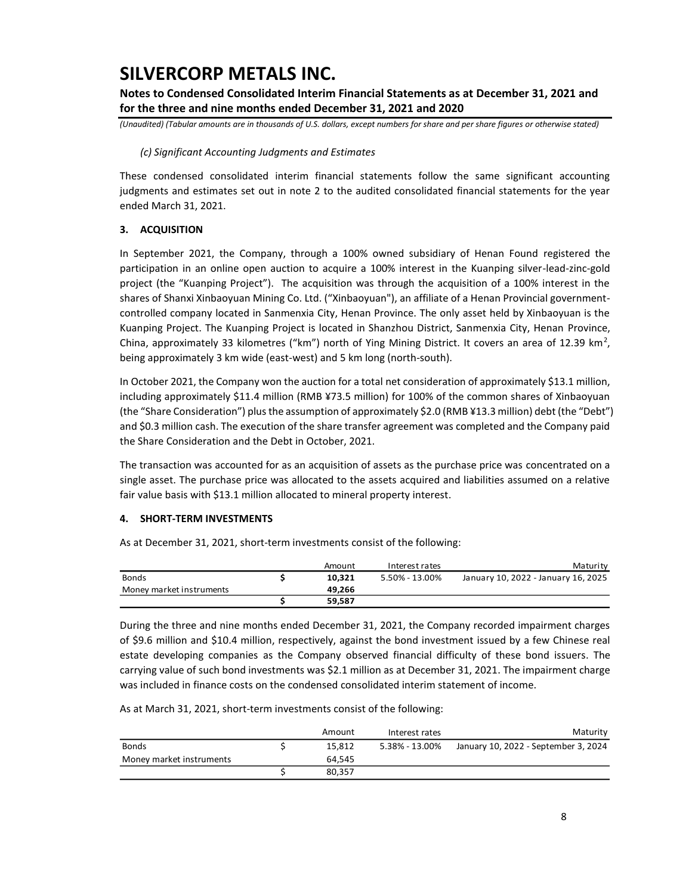**Notes to Condensed Consolidated Interim Financial Statements as at December 31, 2021 and for the three and nine months ended December 31, 2021 and 2020**

*(Unaudited) (Tabular amounts are in thousands of U.S. dollars, except numbers for share and per share figures or otherwise stated)*

#### *(c) Significant Accounting Judgments and Estimates*

These condensed consolidated interim financial statements follow the same significant accounting judgments and estimates set out in note 2 to the audited consolidated financial statements for the year ended March 31, 2021.

### **3. ACQUISITION**

In September 2021, the Company, through a 100% owned subsidiary of Henan Found registered the participation in an online open auction to acquire a 100% interest in the Kuanping silver-lead-zinc-gold project (the "Kuanping Project"). The acquisition was through the acquisition of a 100% interest in the shares of Shanxi Xinbaoyuan Mining Co. Ltd. ("Xinbaoyuan"), an affiliate of a Henan Provincial governmentcontrolled company located in Sanmenxia City, Henan Province. The only asset held by Xinbaoyuan is the Kuanping Project. The Kuanping Project is located in Shanzhou District, Sanmenxia City, Henan Province, China, approximately 33 kilometres ("km") north of Ying Mining District. It covers an area of 12.39 km<sup>2</sup>, being approximately 3 km wide (east-west) and 5 km long (north-south).

In October 2021, the Company won the auction for a total net consideration of approximately \$13.1 million, including approximately \$11.4 million (RMB ¥73.5 million) for 100% of the common shares of Xinbaoyuan (the "Share Consideration") plus the assumption of approximately \$2.0 (RMB ¥13.3 million) debt (the "Debt") and \$0.3 million cash. The execution of the share transfer agreement was completed and the Company paid the Share Consideration and the Debt in October, 2021.

The transaction was accounted for as an acquisition of assets as the purchase price was concentrated on a single asset. The purchase price was allocated to the assets acquired and liabilities assumed on a relative fair value basis with \$13.1 million allocated to mineral property interest.

### **4. SHORT-TERM INVESTMENTS**

As at December 31, 2021, short-term investments consist of the following:

|                          | Amount | Interest rates | Maturity                            |
|--------------------------|--------|----------------|-------------------------------------|
| <b>Bonds</b>             | 10.321 | 5.50% - 13.00% | January 10, 2022 - January 16, 2025 |
| Money market instruments | 49.266 |                |                                     |
|                          | 59.587 |                |                                     |

During the three and nine months ended December 31, 2021, the Company recorded impairment charges of \$9.6 million and \$10.4 million, respectively, against the bond investment issued by a few Chinese real estate developing companies as the Company observed financial difficulty of these bond issuers. The carrying value of such bond investments was \$2.1 million as at December 31, 2021. The impairment charge was included in finance costs on the condensed consolidated interim statement of income.

As at March 31, 2021, short-term investments consist of the following:

|                          | Amount | Interest rates | Maturity                             |
|--------------------------|--------|----------------|--------------------------------------|
| <b>Bonds</b>             | 15.812 | 5.38% - 13.00% | January 10, 2022 - September 3, 2024 |
| Money market instruments | 64.545 |                |                                      |
|                          | 80.357 |                |                                      |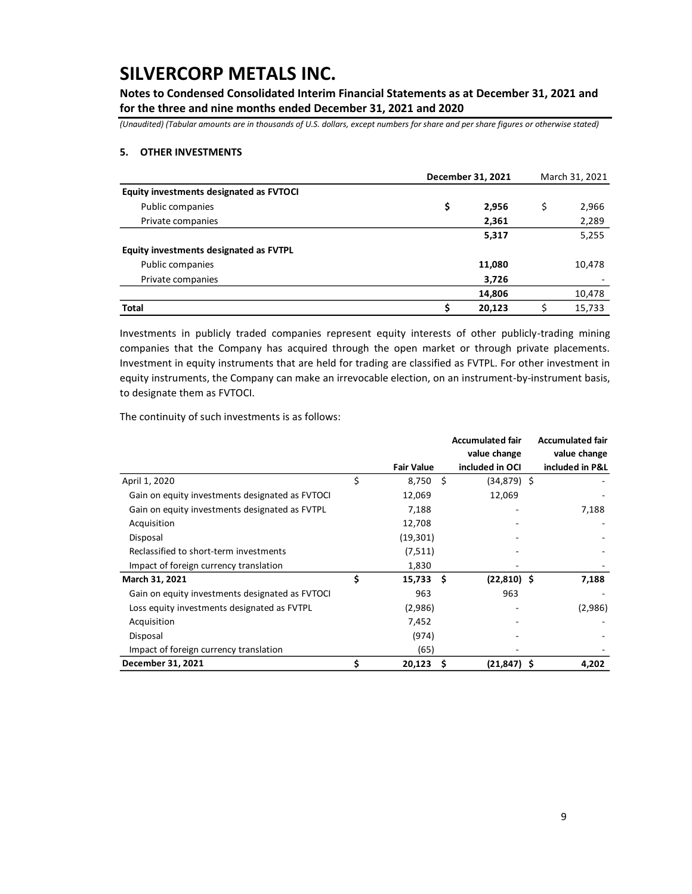**Notes to Condensed Consolidated Interim Financial Statements as at December 31, 2021 and for the three and nine months ended December 31, 2021 and 2020**

*(Unaudited) (Tabular amounts are in thousands of U.S. dollars, except numbers for share and per share figures or otherwise stated)*

#### **5. OTHER INVESTMENTS**

|                                         | December 31, 2021 | March 31, 2021 |        |  |
|-----------------------------------------|-------------------|----------------|--------|--|
| Equity investments designated as FVTOCI |                   |                |        |  |
| Public companies                        | \$<br>2,956       | \$             | 2,966  |  |
| Private companies                       | 2,361             |                | 2,289  |  |
|                                         | 5,317             |                | 5,255  |  |
| Equity investments designated as FVTPL  |                   |                |        |  |
| Public companies                        | 11,080            |                | 10,478 |  |
| Private companies                       | 3,726             |                |        |  |
|                                         | 14,806            |                | 10,478 |  |
| <b>Total</b>                            | 20,123            |                | 15,733 |  |

Investments in publicly traded companies represent equity interests of other publicly-trading mining companies that the Company has acquired through the open market or through private placements. Investment in equity instruments that are held for trading are classified as FVTPL. For other investment in equity instruments, the Company can make an irrevocable election, on an instrument-by-instrument basis, to designate them as FVTOCI.

The continuity of such investments is as follows:

|                                                 |                   |      | <b>Accumulated fair</b> | <b>Accumulated fair</b> |
|-------------------------------------------------|-------------------|------|-------------------------|-------------------------|
|                                                 |                   |      | value change            | value change            |
|                                                 | <b>Fair Value</b> |      | included in OCI         | included in P&L         |
| April 1, 2020                                   | \$<br>8,750       | -Ś   | $(34,879)$ \$           |                         |
| Gain on equity investments designated as FVTOCI | 12,069            |      | 12,069                  |                         |
| Gain on equity investments designated as FVTPL  | 7,188             |      |                         | 7,188                   |
| Acquisition                                     | 12,708            |      |                         |                         |
| Disposal                                        | (19, 301)         |      |                         |                         |
| Reclassified to short-term investments          | (7,511)           |      |                         |                         |
| Impact of foreign currency translation          | 1,830             |      |                         |                         |
| March 31, 2021                                  | \$<br>15,733      | - \$ | $(22,810)$ \$           | 7,188                   |
| Gain on equity investments designated as FVTOCI | 963               |      | 963                     |                         |
| Loss equity investments designated as FVTPL     | (2,986)           |      |                         | (2,986)                 |
| Acquisition                                     | 7,452             |      |                         |                         |
| Disposal                                        | (974)             |      |                         |                         |
| Impact of foreign currency translation          | (65)              |      |                         |                         |
| December 31, 2021                               | \$<br>20,123      | . S  | $(21, 847)$ \$          | 4,202                   |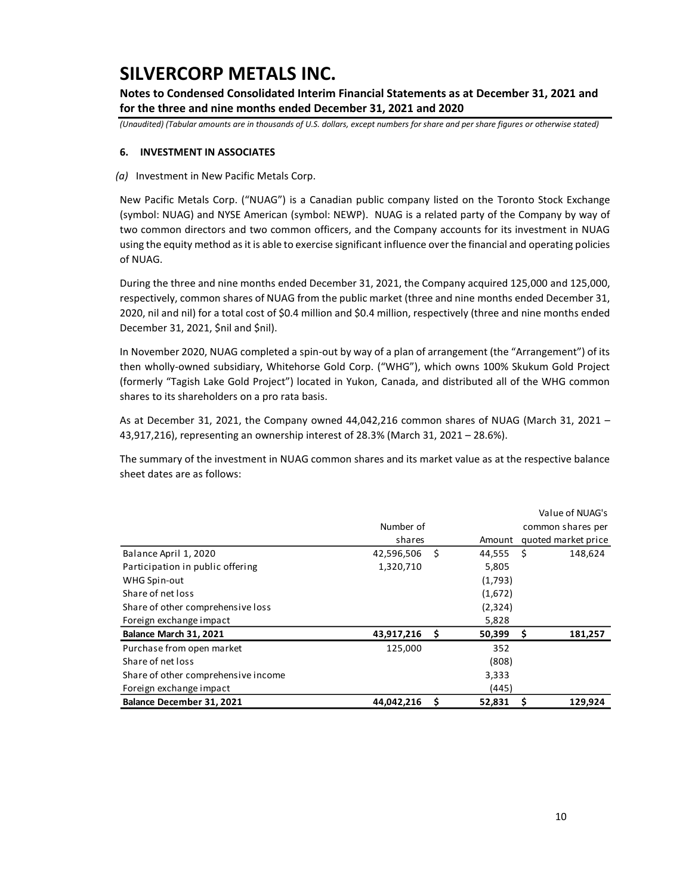**Notes to Condensed Consolidated Interim Financial Statements as at December 31, 2021 and for the three and nine months ended December 31, 2021 and 2020**

*(Unaudited) (Tabular amounts are in thousands of U.S. dollars, except numbers for share and per share figures or otherwise stated)*

### **6. INVESTMENT IN ASSOCIATES**

*(a)* Investment in New Pacific Metals Corp.

New Pacific Metals Corp. ("NUAG") is a Canadian public company listed on the Toronto Stock Exchange (symbol: NUAG) and NYSE American (symbol: NEWP). NUAG is a related party of the Company by way of two common directors and two common officers, and the Company accounts for its investment in NUAG using the equity method as it is able to exercise significant influence over the financial and operating policies of NUAG.

During the three and nine months ended December 31, 2021, the Company acquired 125,000 and 125,000, respectively, common shares of NUAG from the public market (three and nine months ended December 31, 2020, nil and nil) for a total cost of \$0.4 million and \$0.4 million, respectively (three and nine months ended December 31, 2021, \$nil and \$nil).

In November 2020, NUAG completed a spin-out by way of a plan of arrangement (the "Arrangement") of its then wholly-owned subsidiary, Whitehorse Gold Corp. ("WHG"), which owns 100% Skukum Gold Project (formerly "Tagish Lake Gold Project") located in Yukon, Canada, and distributed all of the WHG common shares to its shareholders on a pro rata basis.

As at December 31, 2021, the Company owned 44,042,216 common shares of NUAG (March 31, 2021 – 43,917,216), representing an ownership interest of 28.3% (March 31, 2021 – 28.6%).

The summary of the investment in NUAG common shares and its market value as at the respective balance sheet dates are as follows:

|                                     |            |      |          |    | Value of NUAG's     |
|-------------------------------------|------------|------|----------|----|---------------------|
|                                     | Number of  |      |          |    | common shares per   |
|                                     | shares     |      | Amount   |    | quoted market price |
| Balance April 1, 2020               | 42,596,506 | - \$ | 44,555   | -Ś | 148,624             |
| Participation in public offering    | 1,320,710  |      | 5,805    |    |                     |
| WHG Spin-out                        |            |      | (1,793)  |    |                     |
| Share of net loss                   |            |      | (1,672)  |    |                     |
| Share of other comprehensive loss   |            |      | (2, 324) |    |                     |
| Foreign exchange impact             |            |      | 5,828    |    |                     |
| Balance March 31, 2021              | 43,917,216 | - \$ | 50,399   | \$ | 181,257             |
| Purchase from open market           | 125,000    |      | 352      |    |                     |
| Share of net loss                   |            |      | (808)    |    |                     |
| Share of other comprehensive income |            |      | 3,333    |    |                     |
| Foreign exchange impact             |            |      | (445)    |    |                     |
| Balance December 31, 2021           | 44,042,216 | \$   | 52,831   | \$ | 129,924             |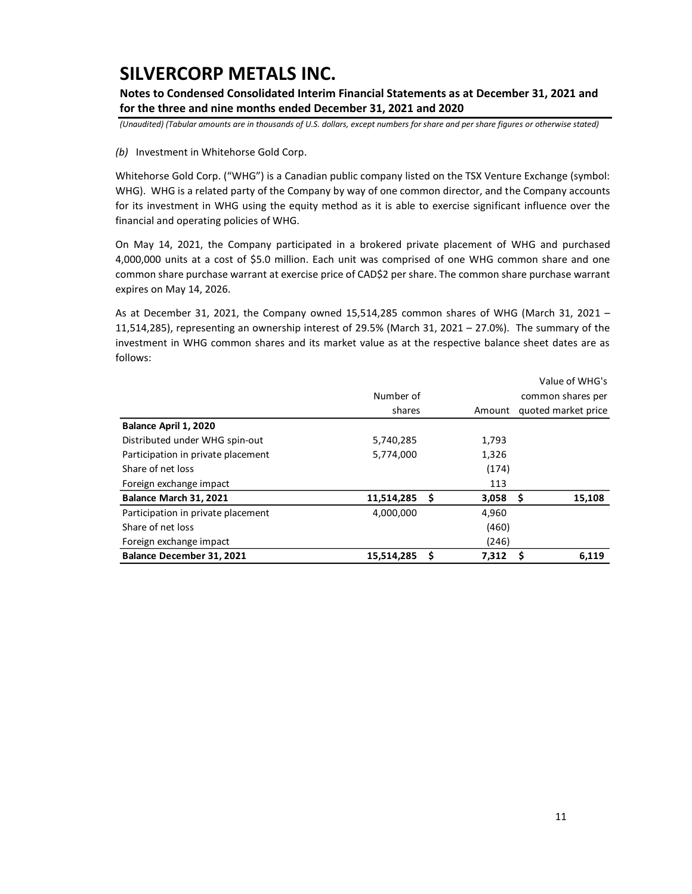**Notes to Condensed Consolidated Interim Financial Statements as at December 31, 2021 and for the three and nine months ended December 31, 2021 and 2020**

*(Unaudited) (Tabular amounts are in thousands of U.S. dollars, except numbers for share and per share figures or otherwise stated)*

*(b)* Investment in Whitehorse Gold Corp.

Whitehorse Gold Corp. ("WHG") is a Canadian public company listed on the TSX Venture Exchange (symbol: WHG). WHG is a related party of the Company by way of one common director, and the Company accounts for its investment in WHG using the equity method as it is able to exercise significant influence over the financial and operating policies of WHG.

On May 14, 2021, the Company participated in a brokered private placement of WHG and purchased 4,000,000 units at a cost of \$5.0 million. Each unit was comprised of one WHG common share and one common share purchase warrant at exercise price of CAD\$2 per share. The common share purchase warrant expires on May 14, 2026.

As at December 31, 2021, the Company owned 15,514,285 common shares of WHG (March 31, 2021 – 11,514,285), representing an ownership interest of 29.5% (March 31, 2021 – 27.0%). The summary of the investment in WHG common shares and its market value as at the respective balance sheet dates are as follows:

|                                    |            |        |       |                     | Value of WHG's |  |
|------------------------------------|------------|--------|-------|---------------------|----------------|--|
|                                    | Number of  |        |       | common shares per   |                |  |
|                                    | shares     | Amount |       | quoted market price |                |  |
| Balance April 1, 2020              |            |        |       |                     |                |  |
| Distributed under WHG spin-out     | 5,740,285  |        | 1,793 |                     |                |  |
| Participation in private placement | 5,774,000  |        | 1,326 |                     |                |  |
| Share of net loss                  |            |        | (174) |                     |                |  |
| Foreign exchange impact            |            |        | 113   |                     |                |  |
| Balance March 31, 2021             | 11,514,285 | S      | 3,058 | .s                  | 15,108         |  |
| Participation in private placement | 4,000,000  |        | 4,960 |                     |                |  |
| Share of net loss                  |            |        | (460) |                     |                |  |
| Foreign exchange impact            |            |        | (246) |                     |                |  |
| Balance December 31, 2021          | 15,514,285 | S      | 7.312 |                     | 6.119          |  |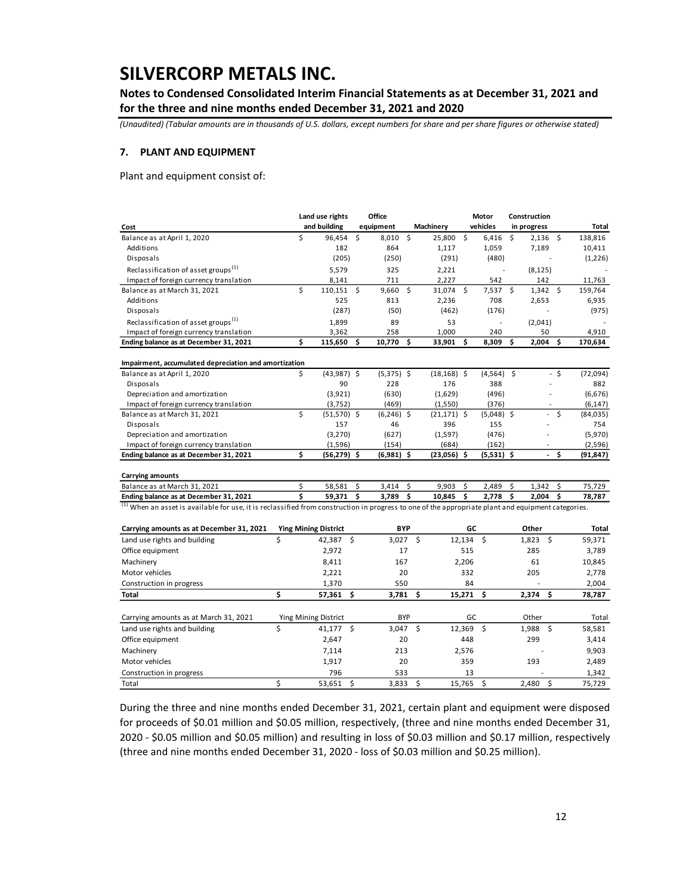**Notes to Condensed Consolidated Interim Financial Statements as at December 31, 2021 and for the three and nine months ended December 31, 2021 and 2020**

*(Unaudited) (Tabular amounts are in thousands of U.S. dollars, except numbers for share and per share figures or otherwise stated)*

#### **7. PLANT AND EQUIPMENT**

Plant and equipment consist of:

|                                                                                                                                                               |    | Land use rights             |    | Office       |    |                |       | Motor        |    | Construction             |      |           |
|---------------------------------------------------------------------------------------------------------------------------------------------------------------|----|-----------------------------|----|--------------|----|----------------|-------|--------------|----|--------------------------|------|-----------|
| Cost                                                                                                                                                          |    | and building                |    | equipment    |    | Machinery      |       | vehicles     |    | in progress              |      | Total     |
| Balance as at April 1, 2020                                                                                                                                   | \$ | 96,454                      | \$ | 8,010 \$     |    | 25,800 \$      |       | 6,416        | Ŝ. | $2,136$ \$               |      | 138,816   |
| Additions                                                                                                                                                     |    | 182                         |    | 864          |    | 1,117          |       | 1,059        |    | 7,189                    |      | 10,411    |
| Disposals                                                                                                                                                     |    | (205)                       |    | (250)        |    | (291)          |       | (480)        |    |                          |      | (1,226)   |
| Reclassification of asset groups <sup>(1)</sup>                                                                                                               |    | 5,579                       |    | 325          |    | 2,221          |       |              |    | (8, 125)                 |      |           |
| Impact of foreign currency translation                                                                                                                        |    | 8,141                       |    | 711          |    | 2,227          |       | 542          |    | 142                      |      | 11.763    |
| Balance as at March 31, 2021                                                                                                                                  | \$ | $110,151$ \$                |    | $9,660$ \$   |    | 31,074 \$      |       | $7,537$ \$   |    | $1,342 \quad$ \$         |      | 159,764   |
| Additions                                                                                                                                                     |    | 525                         |    | 813          |    | 2,236          |       | 708          |    | 2,653                    |      | 6,935     |
| Disposals                                                                                                                                                     |    | (287)                       |    | (50)         |    | (462)          |       | (176)        |    |                          |      | (975)     |
| Reclassification of asset groups <sup>(1)</sup>                                                                                                               |    | 1,899                       |    | 89           |    | 53             |       |              |    | (2,041)                  |      |           |
| Impact of foreign currency translation                                                                                                                        |    | 3,362                       |    | 258          |    | 1,000          |       | 240          |    | 50                       |      | 4,910     |
| Ending balance as at December 31, 2021                                                                                                                        | \$ | 115,650                     | \$ | 10,770       | Ś. | 33,901         | \$    | 8,309        | \$ | 2,004                    | \$   | 170,634   |
| Impairment, accumulated depreciation and amortization                                                                                                         |    |                             |    |              |    |                |       |              |    |                          |      |           |
| Balance as at April 1, 2020                                                                                                                                   | \$ | $(43,987)$ \$               |    | $(5,375)$ \$ |    | $(18, 168)$ \$ |       | $(4,564)$ \$ |    |                          | $-5$ | (72,094)  |
| Disposals                                                                                                                                                     |    | 90                          |    | 228          |    | 176            |       | 388          |    |                          |      | 882       |
| Depreciation and amortization                                                                                                                                 |    | (3,921)                     |    | (630)        |    | (1,629)        |       | (496)        |    |                          |      | (6,676)   |
| Impact of foreign currency translation                                                                                                                        |    | (3, 752)                    |    | (469)        |    | (1,550)        |       | (376)        |    |                          |      | (6, 147)  |
| Balance as at March 31, 2021                                                                                                                                  | \$ | $(51,570)$ \$               |    | $(6,246)$ \$ |    | $(21, 171)$ \$ |       | $(5,048)$ \$ |    |                          | \$   | (84, 035) |
| Disposals                                                                                                                                                     |    | 157                         |    | 46           |    | 396            |       | 155          |    |                          |      | 754       |
| Depreciation and amortization                                                                                                                                 |    | (3, 270)                    |    | (627)        |    | (1, 597)       |       | (476)        |    |                          |      | (5,970)   |
| Impact of foreign currency translation                                                                                                                        |    | (1, 596)                    |    | (154)        |    | (684)          |       | (162)        |    | $\overline{a}$           |      | (2,596)   |
| Ending balance as at December 31, 2021                                                                                                                        | \$ | $(56,279)$ \$               |    | (6,981) \$   |    | $(23,056)$ \$  |       | $(5,531)$ \$ |    | $\overline{\phantom{a}}$ | \$   | (91,847)  |
| <b>Carrying amounts</b>                                                                                                                                       |    |                             |    |              |    |                |       |              |    |                          |      |           |
| Balance as at March 31, 2021                                                                                                                                  | \$ | 58,581                      | \$ | 3,414        | Ŝ. | 9,903          | \$    | 2,489        | \$ | 1,342                    | \$   | 75,729    |
| Ending balance as at December 31, 2021                                                                                                                        | Ś  | 59,371                      | \$ | 3,789        | \$ | 10,845         | \$    | 2.778        | Ś  | 2,004                    | \$   | 78,787    |
| <sup>(1)</sup> When an asset is available for use, it is reclassified from construction in progress to one of the appropriate plant and equipment categories. |    |                             |    |              |    |                |       |              |    |                          |      |           |
| Carrying amounts as at December 31, 2021                                                                                                                      |    | <b>Ying Mining District</b> |    | <b>BYP</b>   |    |                | GC    |              |    | Other                    |      | Total     |
| Land use rights and building                                                                                                                                  | \$ | 42,387 \$                   |    | 3,027        |    | \$<br>12,134   |       | \$           |    | \$<br>1,823              |      | 59,371    |
| Office equipment                                                                                                                                              |    | 2,972                       |    | 17           |    |                | 515   |              |    | 285                      |      | 3,789     |
| Machinery                                                                                                                                                     |    | 8,411                       |    | 167          |    |                | 2,206 |              |    | 61                       |      | 10,845    |
| Motor vehicles                                                                                                                                                |    | 2,221                       |    | 20           |    |                | 332   |              |    | 205                      |      | 2,778     |
| Construction in progress                                                                                                                                      |    | 1,370                       |    | 550          |    |                | 84    |              |    | ÷.                       |      | 2,004     |
| <b>Total</b>                                                                                                                                                  | \$ | 57,361                      | Ś  | 3,781        |    | Ś.<br>15,271   |       | \$.          |    | \$<br>2,374              |      | 78,787    |
|                                                                                                                                                               |    |                             |    |              |    |                |       |              |    |                          |      |           |
| Carrying amounts as at March 31, 2021                                                                                                                         |    | Ying Mining District        |    | <b>BYP</b>   |    |                | GC    |              |    | Other                    |      | Total     |
| Land use rights and building                                                                                                                                  | \$ | 41,177                      | \$ | 3,047        |    | Ś.<br>12,369   |       | \$           |    | \$<br>1,988              |      | 58,581    |
| Office equipment                                                                                                                                              |    | 2,647                       |    | 20           |    |                | 448   |              |    | 299                      |      | 3,414     |
| Machinery                                                                                                                                                     |    | 7,114                       |    | 213          |    |                | 2,576 |              |    |                          |      | 9,903     |
| Motor vehicles                                                                                                                                                |    | 1,917                       |    | 20           |    |                | 359   |              |    | 193                      |      | 2,489     |
| Construction in progress                                                                                                                                      |    | 796                         |    | 533          |    |                | 13    |              |    |                          |      | 1,342     |
| Total                                                                                                                                                         | \$ | 53,651                      | \$ | 3,833        |    | \$<br>15,765   |       | \$           |    | \$<br>2,480              |      | 75,729    |

During the three and nine months ended December 31, 2021, certain plant and equipment were disposed for proceeds of \$0.01 million and \$0.05 million, respectively, (three and nine months ended December 31, 2020 - \$0.05 million and \$0.05 million) and resulting in loss of \$0.03 million and \$0.17 million, respectively (three and nine months ended December 31, 2020 - loss of \$0.03 million and \$0.25 million).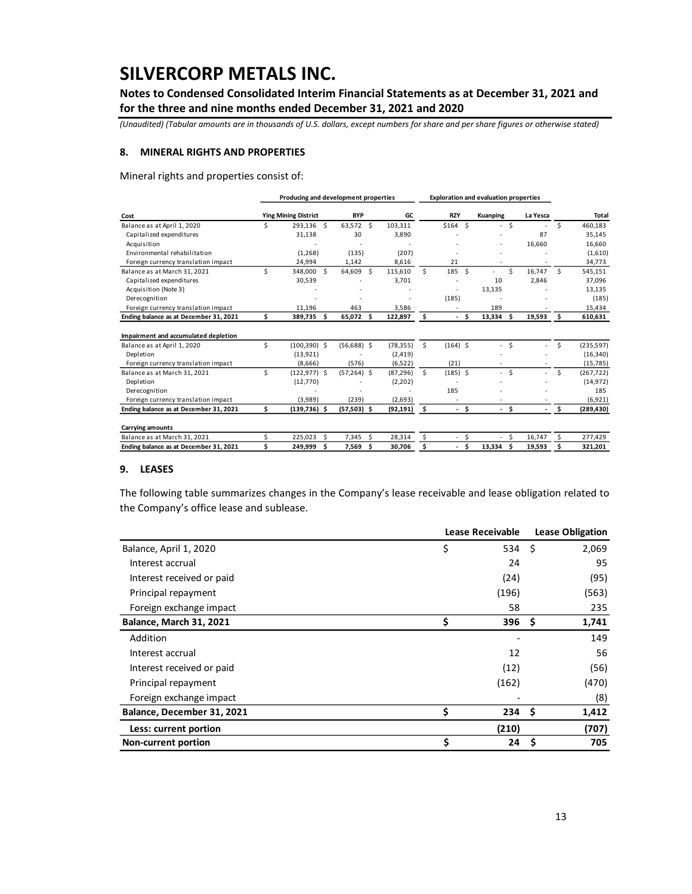**Notes to Condensed Consolidated Interim Financial Statements as at December 31, 2021 and for the three and nine months ended December 31, 2021 and 2020**

*(Unaudited) (Tabular amounts are in thousands of U.S. dollars, except numbers for share and per share figures or otherwise stated)*

### **8. MINERAL RIGHTS AND PROPERTIES**

Mineral rights and properties consist of:

|                                        |                             | Producing and development properties |                |    |           | <b>Exploration and evaluation properties</b> |            |      |                          |      |                          |     |              |
|----------------------------------------|-----------------------------|--------------------------------------|----------------|----|-----------|----------------------------------------------|------------|------|--------------------------|------|--------------------------|-----|--------------|
| Cost                                   | <b>Ying Mining District</b> |                                      | <b>BYP</b>     |    | GC        |                                              | <b>RZY</b> |      | Kuanping                 |      | La Yesca                 |     | <b>Total</b> |
| Balance as at April 1, 2020            | Ś                           | 293.136<br>Ŝ.                        | 63,572 \$      |    | 103,311   |                                              | \$164S     |      | . .                      | \$   | ٠                        | Ś.  | 460,183      |
| Capitalized expenditures               |                             | 31,138                               | 30             |    | 3,890     |                                              |            |      |                          |      | 87                       |     | 35,145       |
| Acquisition                            |                             |                                      |                |    |           |                                              |            |      |                          |      | 16,660                   |     | 16,660       |
| Environmental rehabilitation           |                             | (1, 268)                             | (135)          |    | (207)     |                                              |            |      |                          |      |                          |     | (1,610)      |
| Foreign currency translation impact    |                             | 24,994                               | 1,142          |    | 8,616     |                                              | 21         |      |                          |      |                          |     | 34,773       |
| Balance as at March 31, 2021           | Ś                           | Ŝ.<br>348,000                        | 64.609         | S. | 115,610   | Ś.                                           | 185        | - \$ |                          | Ś.   | 16.747                   | Ŝ.  | 545,151      |
| Capitalized expenditures               |                             | 30,539                               |                |    | 3,701     |                                              |            |      | 10                       |      | 2,846                    |     | 37,096       |
| Acquisition (Note 3)                   |                             |                                      |                |    |           |                                              | ٠          |      | 13,135                   |      |                          |     | 13,135       |
| Derecognition                          |                             |                                      |                |    |           |                                              | (185)      |      |                          |      |                          |     | (185)        |
| Foreign currency translation impact    |                             | 11.196                               | 463            |    | 3,586     |                                              |            |      | 189                      |      |                          |     | 15,434       |
| Ending balance as at December 31, 2021 | \$                          | \$.<br>389,735                       | 65,072         | Ŝ  | 122,897   | \$                                           | $\sim$     | Ŝ.   | $13,334$ \$              |      | 19,593                   | - Ś | 610,631      |
| Impairment and accumulated depletion   |                             |                                      |                |    |           |                                              |            |      |                          |      |                          |     |              |
| Balance as at April 1, 2020            | Ś                           | $(100, 390)$ \$                      | $(56,688)$ \$  |    | (78, 355) | Ŝ.                                           | $(164)$ \$ |      |                          | Ś    |                          | Ś   | (235, 597)   |
| Depletion                              |                             | (13, 921)                            |                |    | (2, 419)  |                                              |            |      |                          |      |                          |     | (16, 340)    |
| Foreign currency translation impact    |                             | (8,666)                              | (576)          |    | (6, 522)  |                                              | (21)       |      |                          |      |                          |     | (15, 785)    |
| Balance as at March 31, 2021           | Ś                           | $(122, 977)$ \$                      | $(57, 264)$ \$ |    | (87, 296) | Ŝ.                                           | $(185)$ \$ |      | $\overline{\phantom{a}}$ | Ŝ.   |                          | \$  | (267, 722)   |
| Depletion                              |                             | (12, 770)                            |                |    | (2,202)   |                                              |            |      |                          |      |                          |     | (14, 972)    |
| Derecognition                          |                             |                                      |                |    |           |                                              | 185        |      |                          |      |                          |     | 185          |
| Foreign currency translation impact    |                             | (3,989)                              | (239)          |    | (2,693)   |                                              | ٠          |      |                          |      |                          |     | (6,921)      |
| Ending balance as at December 31, 2021 | \$                          | $(139,736)$ \$                       | $(57,503)$ \$  |    | (92, 191) | - \$                                         | - \$       |      |                          | - \$ | $\overline{\phantom{a}}$ | \$. | (289, 430)   |
| <b>Carrying amounts</b>                |                             |                                      |                |    |           |                                              |            |      |                          |      |                          |     |              |
| Balance as at March 31, 2021           | \$                          | 225.023<br>Ś                         | 7,345          | Ś. | 28,314    | \$                                           | $\sim$     | \$   | $\overline{\phantom{a}}$ | Ŝ.   | 16,747                   | Ŝ   | 277,429      |
| Ending balance as at December 31, 2021 | Ś                           | Ś<br>249,999                         | 7,569          | \$ | 30,706    | \$                                           | ÷.         | Ś    | 13,334                   | Ś    | 19,593                   | Ŝ   | 321,201      |

#### **9. LEASES**

The following table summarizes changes in the Company's lease receivable and lease obligation related to the Company's office lease and sublease.

|                            | Lease Receivable | <b>Lease Obligation</b> |       |  |  |
|----------------------------|------------------|-------------------------|-------|--|--|
| Balance, April 1, 2020     | \$<br>534 \$     |                         | 2,069 |  |  |
| Interest accrual           | 24               |                         | 95    |  |  |
| Interest received or paid  | (24)             |                         | (95)  |  |  |
| Principal repayment        | (196)            |                         | (563) |  |  |
| Foreign exchange impact    | 58               |                         | 235   |  |  |
| Balance, March 31, 2021    | \$<br>396        | -S                      | 1,741 |  |  |
| Addition                   |                  |                         | 149   |  |  |
| Interest accrual           | 12               |                         | 56    |  |  |
| Interest received or paid  | (12)             |                         | (56)  |  |  |
| Principal repayment        | (162)            |                         | (470) |  |  |
| Foreign exchange impact    |                  |                         | (8)   |  |  |
| Balance, December 31, 2021 | \$<br>234        | - S                     | 1,412 |  |  |
| Less: current portion      | (210)            |                         | (707) |  |  |
| <b>Non-current portion</b> | \$<br>24         | Ś                       | 705   |  |  |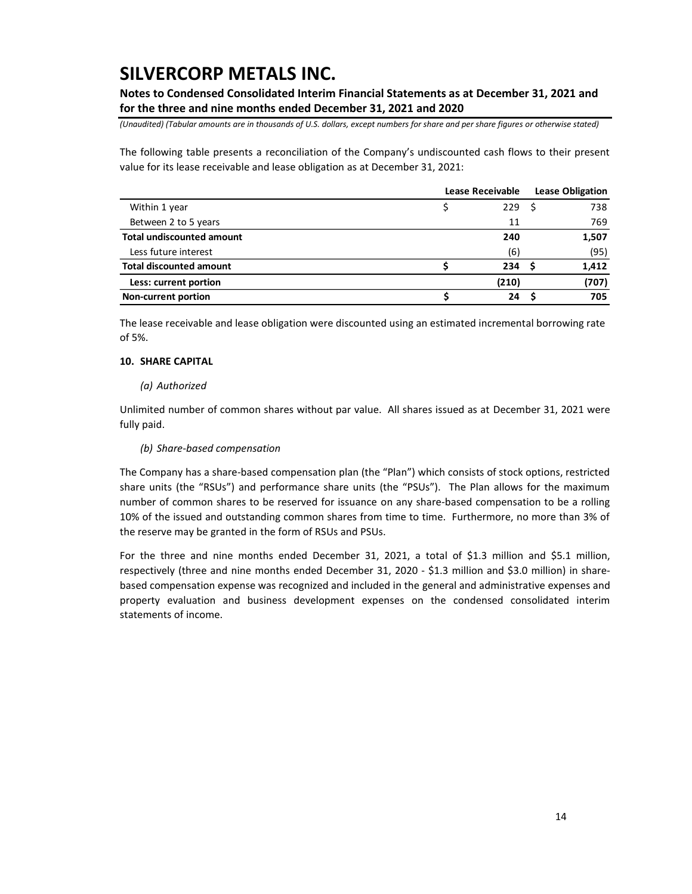**Notes to Condensed Consolidated Interim Financial Statements as at December 31, 2021 and for the three and nine months ended December 31, 2021 and 2020**

*(Unaudited) (Tabular amounts are in thousands of U.S. dollars, except numbers for share and per share figures or otherwise stated)*

The following table presents a reconciliation of the Company's undiscounted cash flows to their present value for its lease receivable and lease obligation as at December 31, 2021:

|                                  | Lease Receivable | <b>Lease Obligation</b> |       |  |  |
|----------------------------------|------------------|-------------------------|-------|--|--|
| Within 1 year                    | 229              |                         | 738   |  |  |
| Between 2 to 5 years             | 11               |                         | 769   |  |  |
| <b>Total undiscounted amount</b> | 240              |                         | 1,507 |  |  |
| Less future interest             | (6)              |                         | (95)  |  |  |
| <b>Total discounted amount</b>   | 234              |                         | 1,412 |  |  |
| Less: current portion            | (210)            |                         | (707) |  |  |
| <b>Non-current portion</b>       | 24               |                         | 705   |  |  |

The lease receivable and lease obligation were discounted using an estimated incremental borrowing rate of 5%.

### **10. SHARE CAPITAL**

### *(a) Authorized*

Unlimited number of common shares without par value. All shares issued as at December 31, 2021 were fully paid.

### *(b) Share-based compensation*

The Company has a share-based compensation plan (the "Plan") which consists of stock options, restricted share units (the "RSUs") and performance share units (the "PSUs"). The Plan allows for the maximum number of common shares to be reserved for issuance on any share-based compensation to be a rolling 10% of the issued and outstanding common shares from time to time. Furthermore, no more than 3% of the reserve may be granted in the form of RSUs and PSUs.

For the three and nine months ended December 31, 2021, a total of \$1.3 million and \$5.1 million, respectively (three and nine months ended December 31, 2020 - \$1.3 million and \$3.0 million) in sharebased compensation expense was recognized and included in the general and administrative expenses and property evaluation and business development expenses on the condensed consolidated interim statements of income.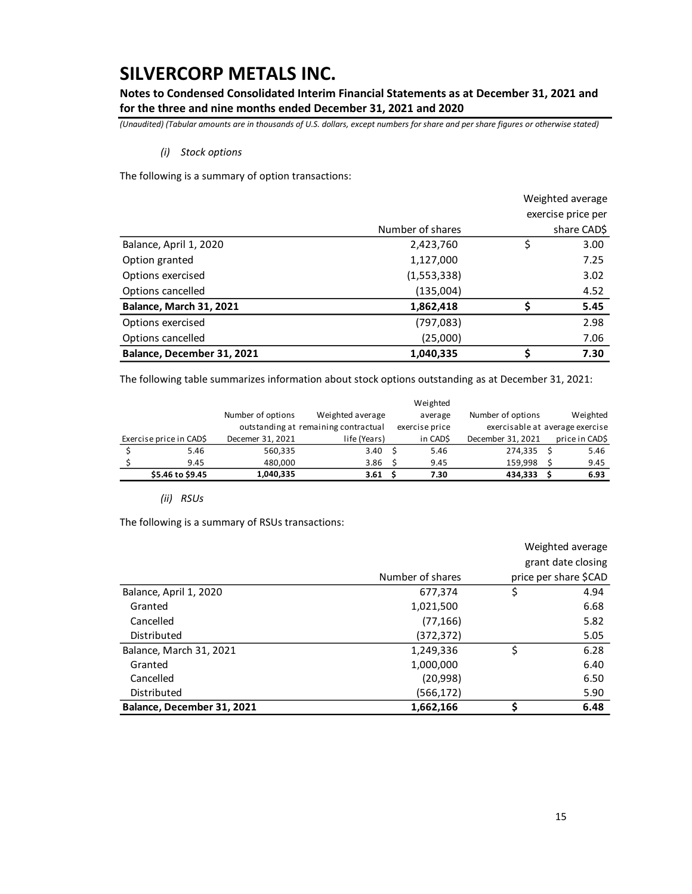**Notes to Condensed Consolidated Interim Financial Statements as at December 31, 2021 and for the three and nine months ended December 31, 2021 and 2020**

*(Unaudited) (Tabular amounts are in thousands of U.S. dollars, except numbers for share and per share figures or otherwise stated)*

### *(i) Stock options*

The following is a summary of option transactions:

|                            |                  | Weighted average   |
|----------------------------|------------------|--------------------|
|                            |                  | exercise price per |
|                            | Number of shares | share CAD\$        |
| Balance, April 1, 2020     | 2,423,760        | \$<br>3.00         |
| Option granted             | 1,127,000        | 7.25               |
| Options exercised          | (1,553,338)      | 3.02               |
| Options cancelled          | (135,004)        | 4.52               |
| Balance, March 31, 2021    | 1,862,418        | 5.45               |
| Options exercised          | (797, 083)       | 2.98               |
| Options cancelled          | (25,000)         | 7.06               |
| Balance, December 31, 2021 | 1,040,335        | \$<br>7.30         |

The following table summarizes information about stock options outstanding as at December 31, 2021:

|                         |                   |                                      | Weighted       |                                 |                |
|-------------------------|-------------------|--------------------------------------|----------------|---------------------------------|----------------|
|                         | Number of options | Weighted average                     | average        | Number of options               | Weighted       |
|                         |                   | outstanding at remaining contractual | exercise price | exercisable at average exercise |                |
| Exercise price in CAD\$ | Decemer 31, 2021  | life (Years)                         | in CADS        | December 31, 2021               | price in CAD\$ |
| 5.46                    | 560,335           | 3.40                                 | 5.46           | 274.335                         | 5.46           |
| 9.45                    | 480,000           | 3.86                                 | 9.45           | 159.998                         | 9.45           |
| \$5.46 to \$9.45        | 1,040,335         | 3.61                                 | 7.30           | 434,333                         | 6.93           |

*(ii) RSUs*

The following is a summary of RSUs transactions:

|                            |                  | Weighted average      |  |  |
|----------------------------|------------------|-----------------------|--|--|
|                            |                  | grant date closing    |  |  |
|                            | Number of shares | price per share \$CAD |  |  |
| Balance, April 1, 2020     | 677,374          | \$<br>4.94            |  |  |
| Granted                    | 1,021,500        | 6.68                  |  |  |
| Cancelled                  | (77, 166)        | 5.82                  |  |  |
| Distributed                | (372, 372)       | 5.05                  |  |  |
| Balance, March 31, 2021    | 1,249,336        | \$<br>6.28            |  |  |
| Granted                    | 1,000,000        | 6.40                  |  |  |
| Cancelled                  | (20, 998)        | 6.50                  |  |  |
| Distributed                | (566, 172)       | 5.90                  |  |  |
| Balance, December 31, 2021 | 1,662,166        | \$<br>6.48            |  |  |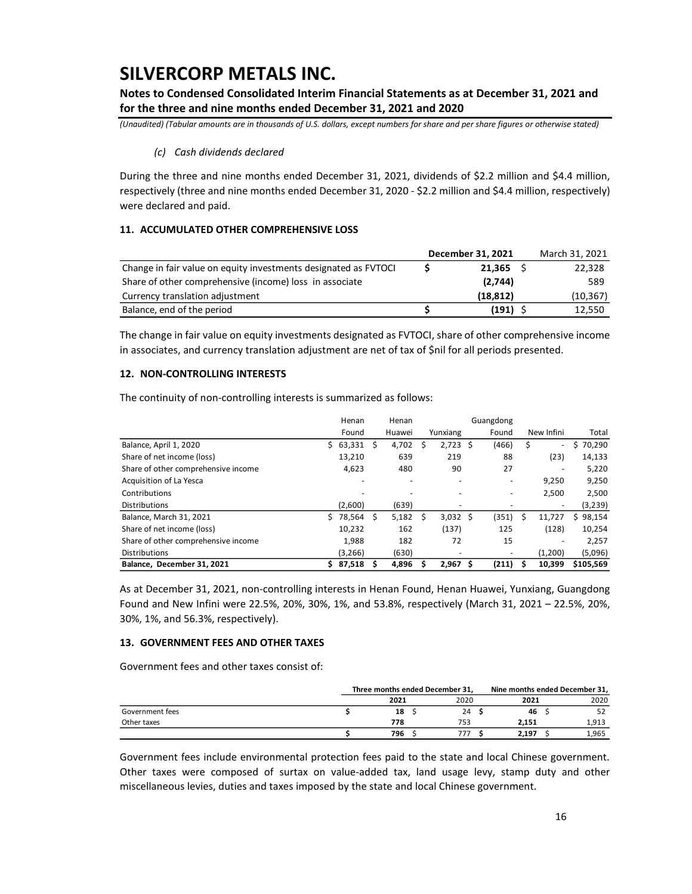**Notes to Condensed Consolidated Interim Financial Statements as at December 31, 2021 and for the three and nine months ended December 31, 2021 and 2020**

*(Unaudited) (Tabular amounts are in thousands of U.S. dollars, except numbers for share and per share figures or otherwise stated)*

### *(c) Cash dividends declared*

During the three and nine months ended December 31, 2021, dividends of \$2.2 million and \$4.4 million, respectively (three and nine months ended December 31, 2020 - \$2.2 million and \$4.4 million, respectively) were declared and paid.

### **11. ACCUMULATED OTHER COMPREHENSIVE LOSS**

|                                                                 | December 31, 2021 | March 31, 2021 |
|-----------------------------------------------------------------|-------------------|----------------|
| Change in fair value on equity investments designated as FVTOCI | 21.365            | 22,328         |
| Share of other comprehensive (income) loss in associate         | (2.744)           | 589            |
| Currency translation adjustment                                 | (18, 812)         | (10, 367)      |
| Balance, end of the period                                      | (191)             | 12.550         |

The change in fair value on equity investments designated as FVTOCI, share of other comprehensive income in associates, and currency translation adjustment are net of tax of \$nil for all periods presented.

### **12. NON-CONTROLLING INTERESTS**

The continuity of non-controlling interests is summarized as follows:

|                                     |    | Henan   |   | Henan                    |   |                          |    | Guangdong |    |                          |              |
|-------------------------------------|----|---------|---|--------------------------|---|--------------------------|----|-----------|----|--------------------------|--------------|
|                                     |    | Found   |   | Huawei                   |   | Yunxiang                 |    | Found     |    | New Infini               | Total        |
| Balance, April 1, 2020              | S. | 63,331  | S | 4.702                    | s | 2.723                    | -Ś | (466)     | \$ | ٠                        | 70,290<br>S  |
| Share of net income (loss)          |    | 13,210  |   | 639                      |   | 219                      |    | 88        |    | (23)                     | 14,133       |
| Share of other comprehensive income |    | 4,623   |   | 480                      |   | 90                       |    | 27        |    | ۰                        | 5,220        |
| Acquisition of La Yesca             |    |         |   | ٠                        |   |                          |    |           |    | 9,250                    | 9,250        |
| Contributions                       |    |         |   | $\overline{\phantom{a}}$ |   |                          |    |           |    | 2,500                    | 2,500        |
| <b>Distributions</b>                |    | (2,600) |   | (639)                    |   | $\overline{\phantom{0}}$ |    |           |    | $\overline{\phantom{a}}$ | (3,239)      |
| Balance, March 31, 2021             |    | 78,564  | Ś | 5,182                    | Ŝ | $3,032$ \$               |    | (351)     | Ŝ  | 11.727                   | 98,154<br>Ś. |
| Share of net income (loss)          |    | 10.232  |   | 162                      |   | (137)                    |    | 125       |    | (128)                    | 10,254       |
| Share of other comprehensive income |    | 1,988   |   | 182                      |   | 72                       |    | 15        |    | ۰                        | 2.257        |
| <b>Distributions</b>                |    | (3,266) |   | (630)                    |   | ۰                        |    |           |    | (1,200)                  | (5,096)      |
| Balance. December 31, 2021          |    | 87,518  |   | 4,896                    |   | 2.967                    | S  | (211)     | s  | 10.399                   | \$105.569    |

As at December 31, 2021, non-controlling interests in Henan Found, Henan Huawei, Yunxiang, Guangdong Found and New Infini were 22.5%, 20%, 30%, 1%, and 53.8%, respectively (March 31, 2021 – 22.5%, 20%, 30%, 1%, and 56.3%, respectively).

#### **13. GOVERNMENT FEES AND OTHER TAXES**

Government fees and other taxes consist of:

|                 |      | Three months ended December 31, | Nine months ended December 31, |  |       |  |
|-----------------|------|---------------------------------|--------------------------------|--|-------|--|
|                 | 2021 | 2020                            | 2021                           |  | 2020  |  |
| Government fees | 18   | 24                              | 46                             |  | 52    |  |
| Other taxes     | 778  | 753                             | 2.151                          |  | 1,913 |  |
|                 | 796  |                                 | 2.197                          |  | 1,965 |  |

Government fees include environmental protection fees paid to the state and local Chinese government. Other taxes were composed of surtax on value-added tax, land usage levy, stamp duty and other miscellaneous levies, duties and taxes imposed by the state and local Chinese government.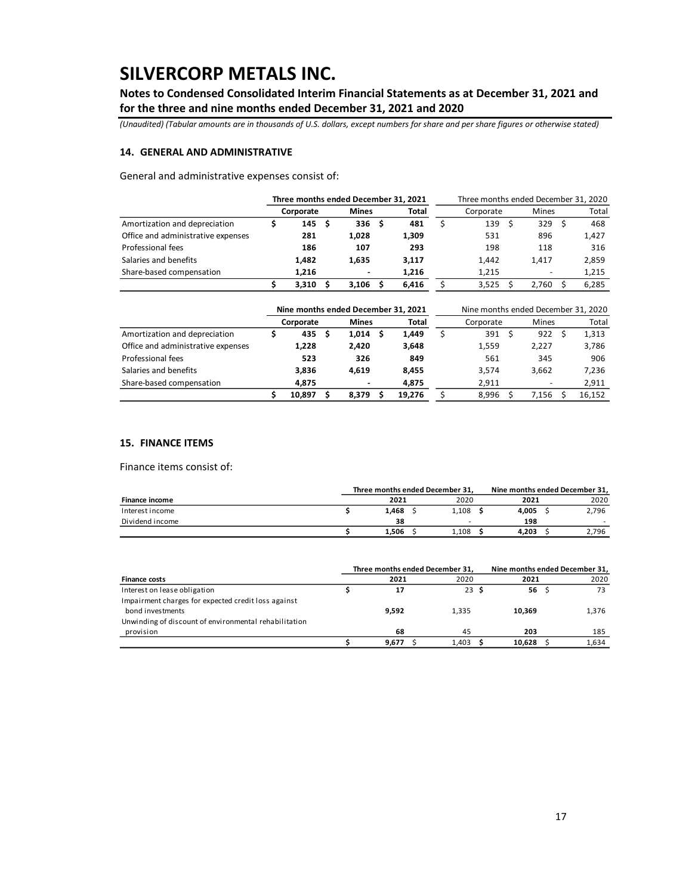**Notes to Condensed Consolidated Interim Financial Statements as at December 31, 2021 and for the three and nine months ended December 31, 2021 and 2020**

*(Unaudited) (Tabular amounts are in thousands of U.S. dollars, except numbers for share and per share figures or otherwise stated)*

### **14. GENERAL AND ADMINISTRATIVE**

General and administrative expenses consist of:

|                                    | Three months ended December 31, 2021 |                          |       |           | Three months ended December 31, 2020 |              |  |       |  |
|------------------------------------|--------------------------------------|--------------------------|-------|-----------|--------------------------------------|--------------|--|-------|--|
|                                    | Corporate                            | <b>Mines</b>             | Total | Corporate |                                      | <b>Mines</b> |  | Total |  |
| Amortization and depreciation      | 145                                  | 336                      | 481   | 139       |                                      | 329          |  | 468   |  |
| Office and administrative expenses | 281                                  | 1.028                    | 1,309 | 531       |                                      | 896          |  | 1,427 |  |
| Professional fees                  | 186                                  | 107                      | 293   | 198       |                                      | 118          |  | 316   |  |
| Salaries and benefits              | 1.482                                | 1.635                    | 3.117 | 1,442     |                                      | 1.417        |  | 2,859 |  |
| Share-based compensation           | 1.216                                | $\overline{\phantom{0}}$ | 1.216 | 1.215     |                                      |              |  | 1,215 |  |
|                                    | 3.310                                | 3.106                    | 6.416 | 3,525     |                                      | 2.760        |  | 6.285 |  |

|                                    |           | Nine months ended December 31, 2021 |        |           | Nine months ended December 31, 2020 |  |        |  |  |
|------------------------------------|-----------|-------------------------------------|--------|-----------|-------------------------------------|--|--------|--|--|
|                                    | Corporate | <b>Mines</b>                        | Total  | Corporate | <b>Mines</b>                        |  | Total  |  |  |
| Amortization and depreciation      | 435       | 1,014                               | 1.449  | 391       | 922                                 |  | 1,313  |  |  |
| Office and administrative expenses | 1.228     | 2.420                               | 3,648  | 1,559     | 2.227                               |  | 3,786  |  |  |
| Professional fees                  | 523       | 326                                 | 849    | 561       | 345                                 |  | 906    |  |  |
| Salaries and benefits              | 3.836     | 4.619                               | 8.455  | 3.574     | 3.662                               |  | 7,236  |  |  |
| Share-based compensation           | 4.875     |                                     | 4.875  | 2.911     | -                                   |  | 2,911  |  |  |
|                                    | 10.897    | 8.379                               | 19.276 | 8.996     | 7.156                               |  | 16,152 |  |  |

#### **15. FINANCE ITEMS**

Finance items consist of:

|                       |       | Three months ended December 31, |       | Nine months ended December 31, |       |
|-----------------------|-------|---------------------------------|-------|--------------------------------|-------|
| <b>Finance income</b> | 2021  | 2020                            | 2021  |                                | 2020  |
| Interest income       | 1.468 | 1.108                           | 4.005 |                                | 2.796 |
| Dividend income       | 38    | $\overline{\phantom{a}}$        | 198   |                                |       |
|                       | 1.506 | 1.108                           | 4.203 |                                | 2.796 |

|                                                       | Three months ended December 31. |       | Nine months ended December 31, |       |  |  |  |  |
|-------------------------------------------------------|---------------------------------|-------|--------------------------------|-------|--|--|--|--|
| <b>Finance costs</b>                                  | 2021                            | 2020  | 2021                           | 2020  |  |  |  |  |
| Interest on lease obligation                          | 17                              | 23S   | 56                             | 73    |  |  |  |  |
| Impairment charges for expected credit loss against   |                                 |       |                                |       |  |  |  |  |
| bond investments                                      | 9.592                           | 1.335 | 10.369                         | 1,376 |  |  |  |  |
| Unwinding of discount of environmental rehabilitation |                                 |       |                                |       |  |  |  |  |
| provision                                             | 68                              | 45    | 203                            | 185   |  |  |  |  |
|                                                       | 9.677                           | 1.403 | 10.628                         | 1.634 |  |  |  |  |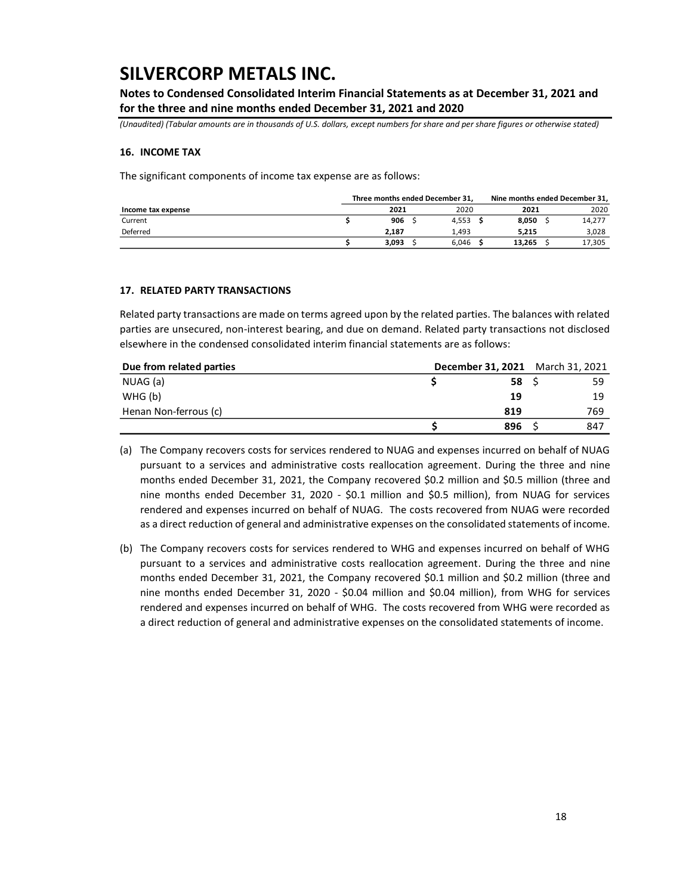**Notes to Condensed Consolidated Interim Financial Statements as at December 31, 2021 and for the three and nine months ended December 31, 2021 and 2020**

*(Unaudited) (Tabular amounts are in thousands of U.S. dollars, except numbers for share and per share figures or otherwise stated)*

#### **16. INCOME TAX**

The significant components of income tax expense are as follows:

|                    |       | Three months ended December 31, | Nine months ended December 31, |  |        |  |  |  |
|--------------------|-------|---------------------------------|--------------------------------|--|--------|--|--|--|
| Income tax expense | 2021  | 2020                            | 2021                           |  | 2020   |  |  |  |
| Current            | 906   | 4.553                           | 8.050                          |  | 14,277 |  |  |  |
| Deferred           | 2.187 | 1.493                           | 5.215                          |  | 3,028  |  |  |  |
|                    | 3.093 | 6.046                           | 13.265                         |  | 17,305 |  |  |  |

#### **17. RELATED PARTY TRANSACTIONS**

Related party transactions are made on terms agreed upon by the related parties. The balances with related parties are unsecured, non-interest bearing, and due on demand. Related party transactions not disclosed elsewhere in the condensed consolidated interim financial statements are as follows:

| Due from related parties | <b>December 31, 2021</b> March 31, 2021 |     |     |
|--------------------------|-----------------------------------------|-----|-----|
| NUAG (a)                 |                                         | 58  |     |
| WHG (b)                  |                                         | 19  | 19  |
| Henan Non-ferrous (c)    |                                         | 819 | 769 |
|                          |                                         | 896 | 847 |

(a) The Company recovers costs for services rendered to NUAG and expenses incurred on behalf of NUAG pursuant to a services and administrative costs reallocation agreement. During the three and nine months ended December 31, 2021, the Company recovered \$0.2 million and \$0.5 million (three and nine months ended December 31, 2020 - \$0.1 million and \$0.5 million), from NUAG for services rendered and expenses incurred on behalf of NUAG. The costs recovered from NUAG were recorded as a direct reduction of general and administrative expenses on the consolidated statements of income.

(b) The Company recovers costs for services rendered to WHG and expenses incurred on behalf of WHG pursuant to a services and administrative costs reallocation agreement. During the three and nine months ended December 31, 2021, the Company recovered \$0.1 million and \$0.2 million (three and nine months ended December 31, 2020 - \$0.04 million and \$0.04 million), from WHG for services rendered and expenses incurred on behalf of WHG. The costs recovered from WHG were recorded as a direct reduction of general and administrative expenses on the consolidated statements of income.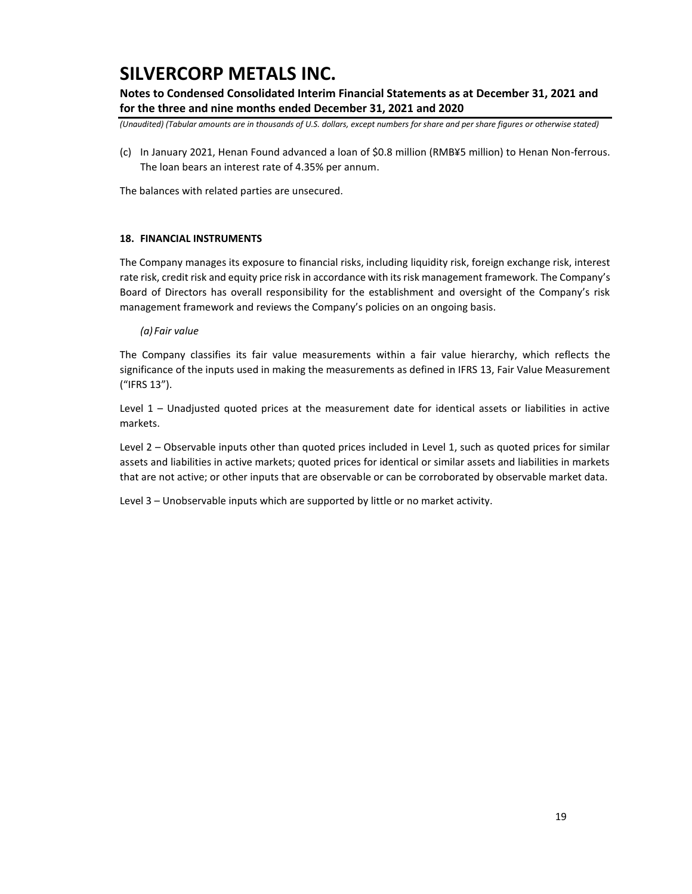**Notes to Condensed Consolidated Interim Financial Statements as at December 31, 2021 and for the three and nine months ended December 31, 2021 and 2020**

*(Unaudited) (Tabular amounts are in thousands of U.S. dollars, except numbers for share and per share figures or otherwise stated)*

(c) In January 2021, Henan Found advanced a loan of \$0.8 million (RMB¥5 million) to Henan Non-ferrous. The loan bears an interest rate of 4.35% per annum.

The balances with related parties are unsecured.

### **18. FINANCIAL INSTRUMENTS**

The Company manages its exposure to financial risks, including liquidity risk, foreign exchange risk, interest rate risk, credit risk and equity price risk in accordance with its risk management framework. The Company's Board of Directors has overall responsibility for the establishment and oversight of the Company's risk management framework and reviews the Company's policies on an ongoing basis.

#### *(a) Fair value*

The Company classifies its fair value measurements within a fair value hierarchy, which reflects the significance of the inputs used in making the measurements as defined in IFRS 13, Fair Value Measurement ("IFRS 13").

Level 1 – Unadjusted quoted prices at the measurement date for identical assets or liabilities in active markets.

Level 2 – Observable inputs other than quoted prices included in Level 1, such as quoted prices for similar assets and liabilities in active markets; quoted prices for identical or similar assets and liabilities in markets that are not active; or other inputs that are observable or can be corroborated by observable market data.

Level 3 – Unobservable inputs which are supported by little or no market activity.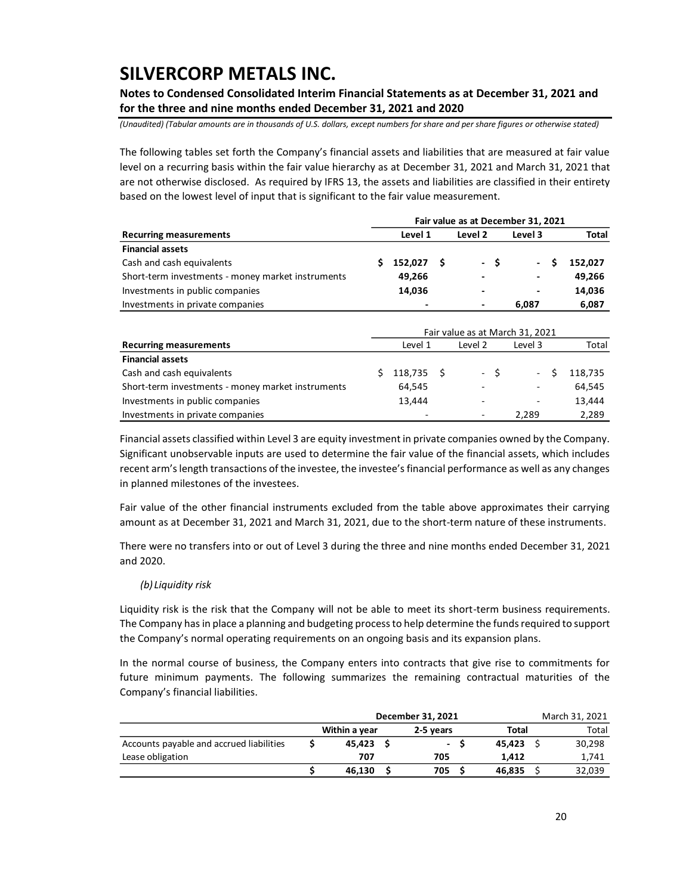**Notes to Condensed Consolidated Interim Financial Statements as at December 31, 2021 and for the three and nine months ended December 31, 2021 and 2020**

*(Unaudited) (Tabular amounts are in thousands of U.S. dollars, except numbers for share and per share figures or otherwise stated)*

The following tables set forth the Company's financial assets and liabilities that are measured at fair value level on a recurring basis within the fair value hierarchy as at December 31, 2021 and March 31, 2021 that are not otherwise disclosed. As required by IFRS 13, the assets and liabilities are classified in their entirety based on the lowest level of input that is significant to the fair value measurement.

|                                                   | Fair value as at December 31, 2021 |              |         |                          |       |                          |  |         |  |  |  |
|---------------------------------------------------|------------------------------------|--------------|---------|--------------------------|-------|--------------------------|--|---------|--|--|--|
| <b>Recurring measurements</b>                     |                                    | Level 1      | Level 3 |                          | Total |                          |  |         |  |  |  |
| <b>Financial assets</b>                           |                                    |              |         |                          |       |                          |  |         |  |  |  |
| Cash and cash equivalents                         |                                    | $152,027$ \$ |         |                          | $-S$  | $\sim$                   |  | 152.027 |  |  |  |
| Short-term investments - money market instruments |                                    | 49,266       |         | $\overline{\phantom{0}}$ |       | $\overline{\phantom{a}}$ |  | 49,266  |  |  |  |
| Investments in public companies                   |                                    | 14.036       |         | $\overline{\phantom{a}}$ |       | ٠                        |  | 14,036  |  |  |  |
| Investments in private companies                  |                                    |              |         | ٠                        |       | 6.087                    |  | 6,087   |  |  |  |

|                                                   | Fair value as at March 31, 2021 |            |  |                          |                          |  |         |  |  |  |  |
|---------------------------------------------------|---------------------------------|------------|--|--------------------------|--------------------------|--|---------|--|--|--|--|
| <b>Recurring measurements</b>                     | Level 2<br>Level 1<br>Level 3   |            |  |                          |                          |  | Total   |  |  |  |  |
| <b>Financial assets</b>                           |                                 |            |  |                          |                          |  |         |  |  |  |  |
| Cash and cash equivalents                         |                                 | 118,735 \$ |  | - \$                     | $\sim 100$               |  | 118,735 |  |  |  |  |
| Short-term investments - money market instruments |                                 | 64,545     |  | $\overline{\phantom{a}}$ | $\overline{\phantom{a}}$ |  | 64,545  |  |  |  |  |
| Investments in public companies                   |                                 | 13,444     |  | ۰                        |                          |  | 13,444  |  |  |  |  |
| Investments in private companies                  |                                 |            |  | $\overline{\phantom{a}}$ | 2.289                    |  | 2.289   |  |  |  |  |

Financial assets classified within Level 3 are equity investment in private companies owned by the Company. Significant unobservable inputs are used to determine the fair value of the financial assets, which includes recent arm's length transactions of the investee, the investee's financial performance as well as any changes in planned milestones of the investees.

Fair value of the other financial instruments excluded from the table above approximates their carrying amount as at December 31, 2021 and March 31, 2021, due to the short-term nature of these instruments.

There were no transfers into or out of Level 3 during the three and nine months ended December 31, 2021 and 2020.

### *(b) Liquidity risk*

Liquidity risk is the risk that the Company will not be able to meet its short-term business requirements. The Company has in place a planning and budgeting process to help determine the funds required to support the Company's normal operating requirements on an ongoing basis and its expansion plans.

In the normal course of business, the Company enters into contracts that give rise to commitments for future minimum payments. The following summarizes the remaining contractual maturities of the Company's financial liabilities.

|                                          | December 31, 2021 | March 31, 2021 |        |        |
|------------------------------------------|-------------------|----------------|--------|--------|
|                                          | Within a year     | 2-5 vears      | Total  | Total  |
| Accounts payable and accrued liabilities | 45.423            | $\sim$         | 45.423 | 30,298 |
| Lease obligation                         | 707               | 705            | 1.412  | 1,741  |
|                                          | 46.130            | 705            | 46.835 | 32,039 |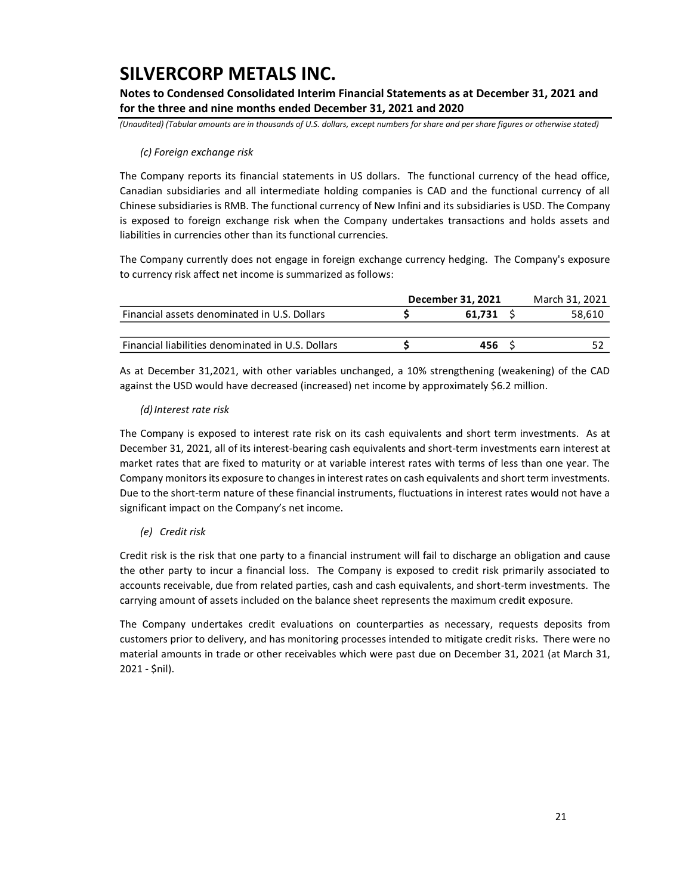**Notes to Condensed Consolidated Interim Financial Statements as at December 31, 2021 and for the three and nine months ended December 31, 2021 and 2020**

*(Unaudited) (Tabular amounts are in thousands of U.S. dollars, except numbers for share and per share figures or otherwise stated)*

### *(c) Foreign exchange risk*

The Company reports its financial statements in US dollars. The functional currency of the head office, Canadian subsidiaries and all intermediate holding companies is CAD and the functional currency of all Chinese subsidiaries is RMB. The functional currency of New Infini and its subsidiaries is USD. The Company is exposed to foreign exchange risk when the Company undertakes transactions and holds assets and liabilities in currencies other than its functional currencies.

The Company currently does not engage in foreign exchange currency hedging. The Company's exposure to currency risk affect net income is summarized as follows:

|                                                   | December 31, 2021 | March 31, 2021 |  |        |  |
|---------------------------------------------------|-------------------|----------------|--|--------|--|
| Financial assets denominated in U.S. Dollars      |                   | 61.731         |  | 58,610 |  |
|                                                   |                   |                |  |        |  |
| Financial liabilities denominated in U.S. Dollars |                   | 456            |  |        |  |

As at December 31,2021, with other variables unchanged, a 10% strengthening (weakening) of the CAD against the USD would have decreased (increased) net income by approximately \$6.2 million.

### *(d)Interest rate risk*

The Company is exposed to interest rate risk on its cash equivalents and short term investments. As at December 31, 2021, all of its interest-bearing cash equivalents and short-term investments earn interest at market rates that are fixed to maturity or at variable interest rates with terms of less than one year. The Company monitors its exposure to changes in interest rates on cash equivalents and short term investments. Due to the short-term nature of these financial instruments, fluctuations in interest rates would not have a significant impact on the Company's net income.

### *(e) Credit risk*

Credit risk is the risk that one party to a financial instrument will fail to discharge an obligation and cause the other party to incur a financial loss. The Company is exposed to credit risk primarily associated to accounts receivable, due from related parties, cash and cash equivalents, and short-term investments. The carrying amount of assets included on the balance sheet represents the maximum credit exposure.

The Company undertakes credit evaluations on counterparties as necessary, requests deposits from customers prior to delivery, and has monitoring processes intended to mitigate credit risks. There were no material amounts in trade or other receivables which were past due on December 31, 2021 (at March 31, 2021 - \$nil).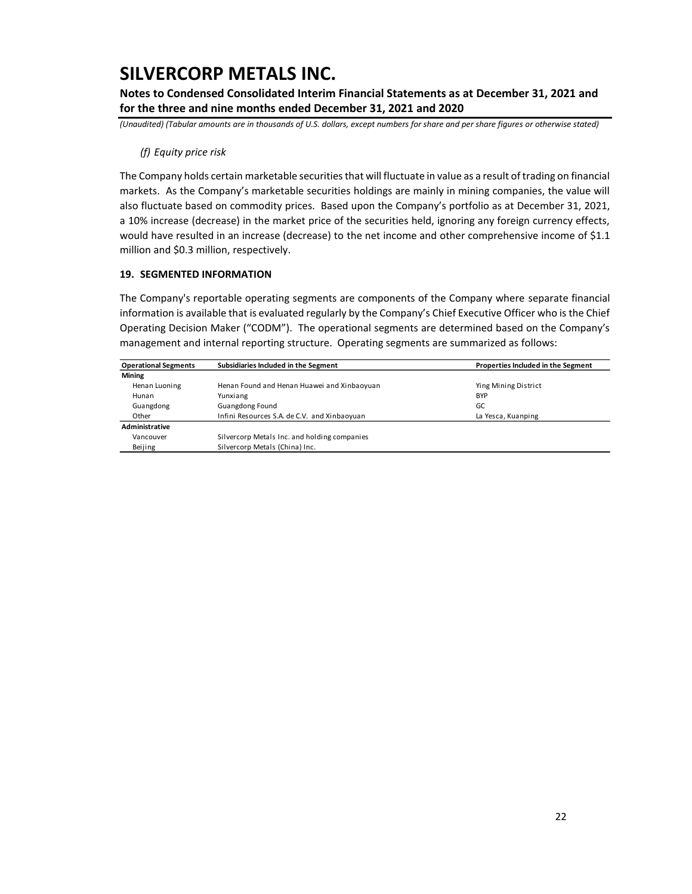**Notes to Condensed Consolidated Interim Financial Statements as at December 31, 2021 and for the three and nine months ended December 31, 2021 and 2020**

*(Unaudited) (Tabular amounts are in thousands of U.S. dollars, except numbers for share and per share figures or otherwise stated)*

### *(f) Equity price risk*

The Company holds certain marketable securities that will fluctuate in value as a result of trading on financial markets. As the Company's marketable securities holdings are mainly in mining companies, the value will also fluctuate based on commodity prices. Based upon the Company's portfolio as at December 31, 2021, a 10% increase (decrease) in the market price of the securities held, ignoring any foreign currency effects, would have resulted in an increase (decrease) to the net income and other comprehensive income of \$1.1 million and \$0.3 million, respectively.

### **19. SEGMENTED INFORMATION**

The Company's reportable operating segments are components of the Company where separate financial information is available that is evaluated regularly by the Company's Chief Executive Officer who is the Chief Operating Decision Maker ("CODM"). The operational segments are determined based on the Company's management and internal reporting structure. Operating segments are summarized as follows:

| <b>Operational Segments</b> | Subsidiaries Included in the Segment         | Properties Included in the Segment |
|-----------------------------|----------------------------------------------|------------------------------------|
| <b>Mining</b>               |                                              |                                    |
| Henan Luoning               | Henan Found and Henan Huawei and Xinbaoyuan  | Ying Mining District               |
| Hunan                       | Yunxiang                                     | <b>BYP</b>                         |
| Guangdong                   | Guangdong Found                              | GC                                 |
| Other                       | Infini Resources S.A. de C.V. and Xinbaoyuan | La Yesca, Kuanping                 |
| Administrative              |                                              |                                    |
| Vancouver                   | Silvercorp Metals Inc. and holding companies |                                    |
| Beijing                     | Silvercorp Metals (China) Inc.               |                                    |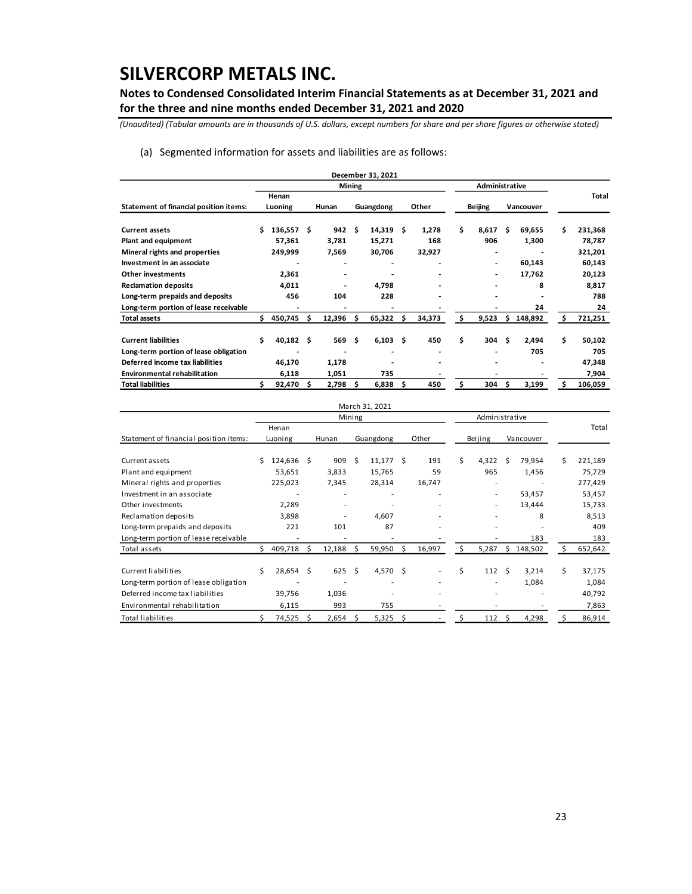**Notes to Condensed Consolidated Interim Financial Statements as at December 31, 2021 and for the three and nine months ended December 31, 2021 and 2020**

*(Unaudited) (Tabular amounts are in thousands of U.S. dollars, except numbers for share and per share figures or otherwise stated)*

### (a) Segmented information for assets and liabilities are as follows:

|                                        |       |              |    |        |        | December 31, 2021        |     |        |    |                          |    |           |     |         |
|----------------------------------------|-------|--------------|----|--------|--------|--------------------------|-----|--------|----|--------------------------|----|-----------|-----|---------|
|                                        |       |              |    |        | Mining |                          |     |        |    |                          |    |           |     |         |
|                                        | Henan |              |    |        |        |                          |     |        |    |                          |    |           |     | Total   |
| Statement of financial position items: |       | Luoning      |    | Hunan  |        | Guangdong                |     | Other  |    | <b>Beijing</b>           |    | Vancouver |     |         |
| <b>Current assets</b>                  | Ś.    | $136,557$ \$ |    | 942    | Ŝ      | 14,319                   | S   | 1,278  | Ś  | 8,617                    | Ś. | 69,655    | Ś   | 231,368 |
| <b>Plant and equipment</b>             |       | 57,361       |    | 3,781  |        | 15,271                   |     | 168    |    | 906                      |    | 1,300     |     | 78,787  |
| Mineral rights and properties          |       | 249,999      |    | 7,569  |        | 30,706                   |     | 32,927 |    |                          |    |           |     | 321,201 |
| Investment in an associate             |       |              |    |        |        |                          |     |        |    | $\overline{\phantom{0}}$ |    | 60,143    |     | 60,143  |
| <b>Other investments</b>               |       | 2,361        |    |        |        |                          |     |        |    | $\overline{\phantom{0}}$ |    | 17,762    |     | 20,123  |
| <b>Reclamation deposits</b>            |       | 4,011        |    |        |        | 4,798                    |     |        |    | $\overline{\phantom{0}}$ |    | 8         |     | 8,817   |
| Long-term prepaids and deposits        |       | 456          |    | 104    |        | 228                      |     |        |    |                          |    |           |     | 788     |
| Long-term portion of lease receivable  |       |              |    |        |        |                          |     |        |    |                          |    | 24        |     | 24      |
| <b>Total assets</b>                    | s.    | 450,745      | Ś. | 12,396 | Ś      | 65,322                   | Ś.  | 34,373 | Ś  | 9,523                    | Ŝ. | 148,892   | Ś   | 721,251 |
| <b>Current liabilities</b>             | \$.   | $40,182$ \$  |    | 569 \$ |        | $6,103 \quad $$          |     | 450    | \$ | 304                      | Ŝ. | 2,494     | \$. | 50,102  |
| Long-term portion of lease obligation  |       |              |    |        |        | $\overline{\phantom{0}}$ |     |        |    |                          |    | 705       |     | 705     |
| Deferred income tax liabilities        |       | 46,170       |    | 1,178  |        |                          |     |        |    |                          |    |           |     | 47,348  |
| <b>Environmental rehabilitation</b>    |       | 6,118        |    | 1,051  |        | 735                      |     |        |    |                          |    |           |     | 7,904   |
| <b>Total liabilities</b>               |       | 92,470       | Ŝ. | 2,798  | S      | 6,838                    | \$. | 450    | Ś  | 304                      | S  | 3,199     | Ś   | 106,059 |

|                                        |    |                          |   |                |    | March 31, 2021 |    |        |    |         |      |           |    |         |
|----------------------------------------|----|--------------------------|---|----------------|----|----------------|----|--------|----|---------|------|-----------|----|---------|
|                                        |    | Administrative<br>Mining |   |                |    |                |    |        |    |         |      |           |    |         |
| Statement of financial position items: |    | Henan<br>Luoning         |   | Hunan          |    | Guangdong      |    | Other  |    | Beijing |      | Vancouver |    | Total   |
| Current assets                         | Ŝ  | 124,636                  | S | 909            | Ŝ  | 11,177         | Ŝ  | 191    | Ś. | 4,322   | Ŝ    | 79,954    | Ś  | 221,189 |
| Plant and equipment                    |    | 53,651                   |   | 3,833          |    | 15,765         |    | 59     |    | 965     |      | 1,456     |    | 75,729  |
| Mineral rights and properties          |    | 225,023                  |   | 7,345          |    | 28,314         |    | 16,747 |    |         |      |           |    | 277,429 |
| Investment in an associate             |    |                          |   |                |    |                |    |        |    | ۰       |      | 53,457    |    | 53,457  |
| Other investments                      |    | 2,289                    |   | ٠              |    |                |    |        |    | ٠       |      | 13,444    |    | 15,733  |
| Reclamation deposits                   |    | 3,898                    |   | ٠              |    | 4,607          |    |        |    |         |      | 8         |    | 8,513   |
| Long-term prepaids and deposits        |    | 221                      |   | 101            |    | 87             |    |        |    |         |      |           |    | 409     |
| Long-term portion of lease receivable  |    |                          |   |                |    |                |    |        |    |         |      | 183       |    | 183     |
| Total assets                           |    | 409,718                  | Ś | 12,188         |    | 59,950         | Ŝ. | 16,997 | Ś  | 5,287   | Ś    | 148,502   |    | 652,642 |
| Current liabilities                    | Ś  | $28,654$ \$              |   | $625 \quad$ \$ |    | 4,570 \$       |    |        | \$ | 112     | - \$ | 3,214     | \$ | 37,175  |
| Long-term portion of lease obligation  |    |                          |   |                |    |                |    |        |    |         |      | 1,084     |    | 1,084   |
| Deferred income tax liabilities        |    | 39,756                   |   | 1,036          |    |                |    |        |    |         |      |           |    | 40,792  |
| Environmental rehabilitation           |    | 6,115                    |   | 993            |    | 755            |    |        |    |         |      |           |    | 7,863   |
| <b>Total liabilities</b>               | \$ | 74,525                   | Ŝ | 2,654          | .s | 5,325          | \$ |        | \$ | 112     | \$   | 4,298     | \$ | 86,914  |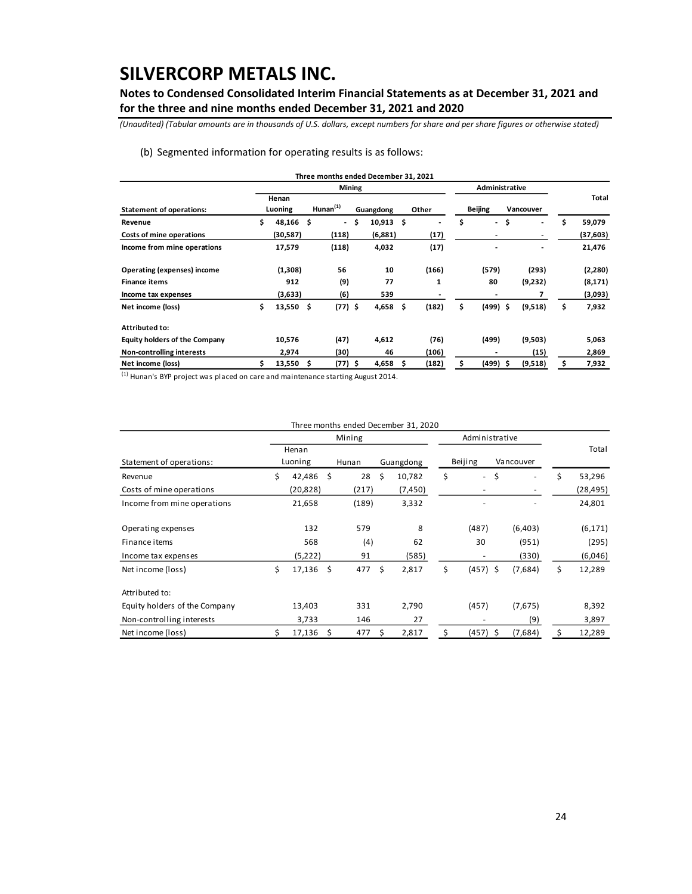**Notes to Condensed Consolidated Interim Financial Statements as at December 31, 2021 and for the three and nine months ended December 31, 2021 and 2020**

*(Unaudited) (Tabular amounts are in thousands of U.S. dollars, except numbers for share and per share figures or otherwise stated)*

### (b) Segmented information for operating results is as follows:

|                                      |    |                  |    |                          |    | Three months ended December 31, 2021 |    |                |                |                          |           |                |              |
|--------------------------------------|----|------------------|----|--------------------------|----|--------------------------------------|----|----------------|----------------|--------------------------|-----------|----------------|--------------|
|                                      |    |                  |    | <b>Mining</b>            |    |                                      |    |                |                | Administrative           |           |                |              |
| <b>Statement of operations:</b>      |    | Henan<br>Luoning |    | $H$ unan $(1)$           |    | Guangdong                            |    | Other          | <b>Beijing</b> |                          | Vancouver |                | Total        |
| Revenue                              | \$ | 48,166 \$        |    | $\overline{\phantom{a}}$ | \$ | 10,913                               | \$ | $\blacksquare$ | \$             | $\overline{\phantom{0}}$ | \$        | $\overline{a}$ | \$<br>59,079 |
| Costs of mine operations             |    | (30,587)         |    | (118)                    |    | (6,881)                              |    | (17)           |                | $\overline{\phantom{0}}$ |           |                | (37, 603)    |
| Income from mine operations          |    | 17,579           |    | (118)                    |    | 4,032                                |    | (17)           |                |                          |           |                | 21,476       |
| Operating (expenses) income          |    | (1,308)          |    | 56                       |    | 10                                   |    | (166)          |                | (579)                    |           | (293)          | (2,280)      |
| <b>Finance items</b>                 |    | 912              |    | (9)                      |    | 77                                   |    | 1              |                | 80                       |           | (9,232)        | (8, 171)     |
| Income tax expenses                  |    | (3,633)          |    | (6)                      |    | 539                                  |    |                |                | $\overline{\phantom{0}}$ |           | 7              | (3,093)      |
| Net income (loss)                    | \$ | $13,550$ \$      |    | $(77)$ \$                |    | 4,658                                | \$ | (182)          | \$             | $(499)$ \$               |           | (9,518)        | \$<br>7,932  |
| <b>Attributed to:</b>                |    |                  |    |                          |    |                                      |    |                |                |                          |           |                |              |
| <b>Equity holders of the Company</b> |    | 10,576           |    | (47)                     |    | 4,612                                |    | (76)           |                | (499)                    |           | (9,503)        | 5,063        |
| Non-controlling interests            |    | 2,974            |    | (30)                     |    | 46                                   |    | (106)          |                |                          |           | (15)           | 2,869        |
| Net income (loss)                    | S  | 13,550           | -S | $(77)$ \$                |    | 4,658                                | S  | (182)          | \$             | (499) \$                 |           | (9,518)        | \$<br>7,932  |

 $<sup>(1)</sup>$  Hunan's BYP project was placed on care and maintenance starting August 2014.</sup>

|                               |    |           |      |        |    | Three months ended December 31, 2020 |                                |     |           |    |           |
|-------------------------------|----|-----------|------|--------|----|--------------------------------------|--------------------------------|-----|-----------|----|-----------|
|                               |    |           |      | Mining |    |                                      | Administrative                 |     |           |    |           |
|                               |    | Henan     |      |        |    |                                      |                                |     |           |    | Total     |
| Statement of operations:      |    | Luoning   |      | Hunan  |    | Guangdong                            | Beijing                        |     | Vancouver |    |           |
| Revenue                       | Ś  | 42,486    | - \$ | 28     | \$ | 10,782                               | \$<br>$\overline{\phantom{a}}$ | \$  |           | Ś  | 53,296    |
| Costs of mine operations      |    | (20, 828) |      | (217)  |    | (7, 450)                             |                                |     |           |    | (28, 495) |
| Income from mine operations   |    | 21,658    |      | (189)  |    | 3,332                                |                                |     |           |    | 24,801    |
| Operating expenses            |    | 132       |      | 579    |    | 8                                    | (487)                          |     | (6,403)   |    | (6, 171)  |
| Finance items                 |    | 568       |      | (4)    |    | 62                                   | 30                             |     | (951)     |    | (295)     |
| Income tax expenses           |    | (5,222)   |      | 91     |    | (585)                                |                                |     | (330)     |    | (6,046)   |
| Net income (loss)             | \$ | 17,136    | - \$ | 477    | Ś. | 2,817                                | \$<br>$(457)$ \$               |     | (7,684)   | \$ | 12,289    |
| Attributed to:                |    |           |      |        |    |                                      |                                |     |           |    |           |
| Equity holders of the Company |    | 13,403    |      | 331    |    | 2,790                                | (457)                          |     | (7,675)   |    | 8,392     |
| Non-controlling interests     |    | 3,733     |      | 146    |    | 27                                   |                                |     | (9)       |    | 3,897     |
| Net income (loss)             |    | 17,136    | \$.  | 477    | s  | 2,817                                | \$<br>(457)                    | - S | (7,684)   | S  | 12,289    |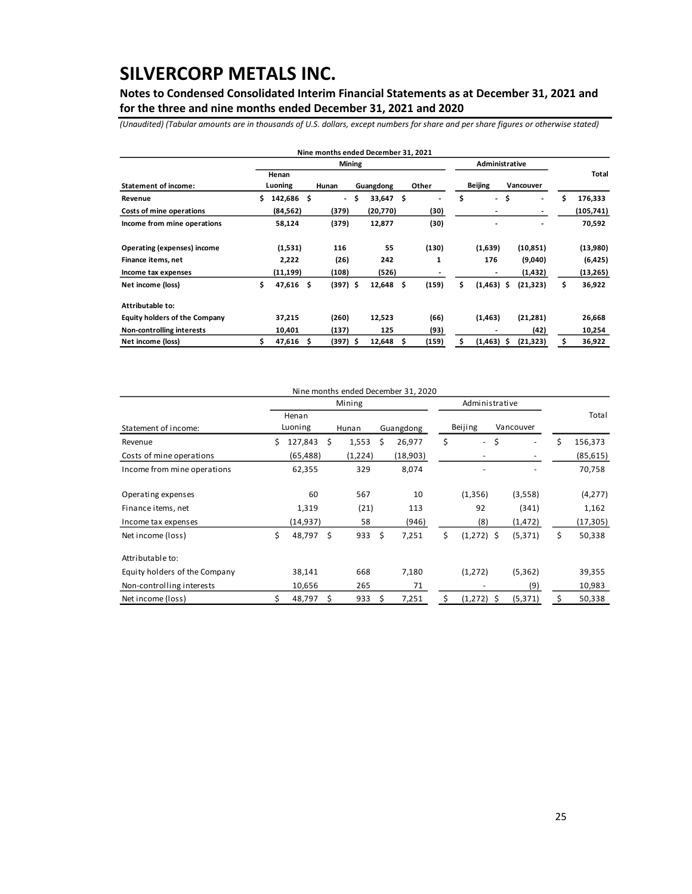**Notes to Condensed Consolidated Interim Financial Statements as at December 31, 2021 and for the three and nine months ended December 31, 2021 and 2020**

*(Unaudited) (Tabular amounts are in thousands of U.S. dollars, except numbers for share and per share figures or otherwise stated)*

|                                      |    |            |    | Nine months ended December 31, 2021 |              |    |       |                                |     |                              |    |           |
|--------------------------------------|----|------------|----|-------------------------------------|--------------|----|-------|--------------------------------|-----|------------------------------|----|-----------|
|                                      |    |            |    | Mining                              |              |    |       | Administrative                 |     |                              |    |           |
|                                      |    | Henan      |    |                                     |              |    |       |                                |     |                              |    | Total     |
| <b>Statement of income:</b>          |    | Luoning    |    | Hunan                               | Guangdong    |    | Other | <b>Beijing</b>                 |     | Vancouver                    |    |           |
| Revenue                              | Ś. | 142,686 \$ |    | $\overline{\phantom{a}}$            | \$<br>33,647 | Ŝ  |       | \$<br>$\overline{\phantom{a}}$ | \$  | $\qquad \qquad \blacksquare$ | Ś  | 176,333   |
| Costs of mine operations             |    | (84, 562)  |    | (379)                               | (20, 770)    |    | (30)  | $\overline{\phantom{a}}$       |     | $\overline{\phantom{a}}$     |    | (105,741) |
| Income from mine operations          |    | 58,124     |    | (379)                               | 12,877       |    | (30)  |                                |     | $\blacksquare$               |    | 70,592    |
| <b>Operating (expenses) income</b>   |    | (1,531)    |    | 116                                 | 55           |    | (130) | (1,639)                        |     | (10, 851)                    |    | (13,980)  |
| Finance items, net                   |    | 2,222      |    | (26)                                | 242          |    | 1     | 176                            |     | (9,040)                      |    | (6, 425)  |
| Income tax expenses                  |    | (11, 199)  |    | (108)                               | (526)        |    |       |                                |     | (1, 432)                     |    | (13,265)  |
| Net income (loss)                    | \$ | 47,616     | Ś. | $(397)$ \$                          | 12,648       | \$ | (159) | \$<br>$(1,463)$ \$             |     | (21, 323)                    | \$ | 36,922    |
| Attributable to:                     |    |            |    |                                     |              |    |       |                                |     |                              |    |           |
| <b>Equity holders of the Company</b> |    | 37,215     |    | (260)                               | 12,523       |    | (66)  | (1,463)                        |     | (21, 281)                    |    | 26,668    |
| Non-controlling interests            |    | 10,401     |    | (137)                               | 125          |    | (93)  |                                |     | (42)                         |    | 10,254    |
| Net income (loss)                    |    | 47,616     | s  | (397) \$                            | 12,648       | s  | (159) | \$<br>(1, 463)                 | \$. | (21, 323)                    |    | 36,922    |

|                               |    | Mining           |    |         |    |           |    | Administrative |    |           |    |           |
|-------------------------------|----|------------------|----|---------|----|-----------|----|----------------|----|-----------|----|-----------|
| Statement of income:          |    | Henan<br>Luoning |    | Hunan   |    | Guangdong |    | Beijing        |    | Vancouver |    | Total     |
| Revenue                       | Ś. | 127,843          | \$ | 1,553   | Ŝ  | 26,977    | \$ | $\blacksquare$ | \$ | ٠         | Ś. | 156,373   |
| Costs of mine operations      |    | (65, 488)        |    | (1,224) |    | (18,903)  |    |                |    |           |    | (85, 615) |
| Income from mine operations   |    | 62,355           |    | 329     |    | 8,074     |    |                |    |           |    | 70,758    |
| Operating expenses            |    | 60               |    | 567     |    | 10        |    | (1,356)        |    | (3,558)   |    | (4,277)   |
| Finance items, net            |    | 1,319            |    | (21)    |    | 113       |    | 92             |    | (341)     |    | 1,162     |
| Income tax expenses           |    | (14, 937)        |    | 58      |    | (946)     |    | (8)            |    | (1, 472)  |    | (17, 305) |
| Net income (loss)             | \$ | 48,797           | Ŝ. | 933     | \$ | 7,251     | \$ | $(1,272)$ \$   |    | (5, 371)  | \$ | 50,338    |
| Attributable to:              |    |                  |    |         |    |           |    |                |    |           |    |           |
| Equity holders of the Company |    | 38,141           |    | 668     |    | 7,180     |    | (1,272)        |    | (5, 362)  |    | 39,355    |
| Non-controlling interests     |    | 10,656           |    | 265     |    | 71        |    |                |    | (9)       |    | 10,983    |
| Net income (loss)             |    | 48,797           | \$ | 933     | Ŝ. | 7,251     | \$ | $(1,272)$ \$   |    | (5, 371)  | \$ | 50,338    |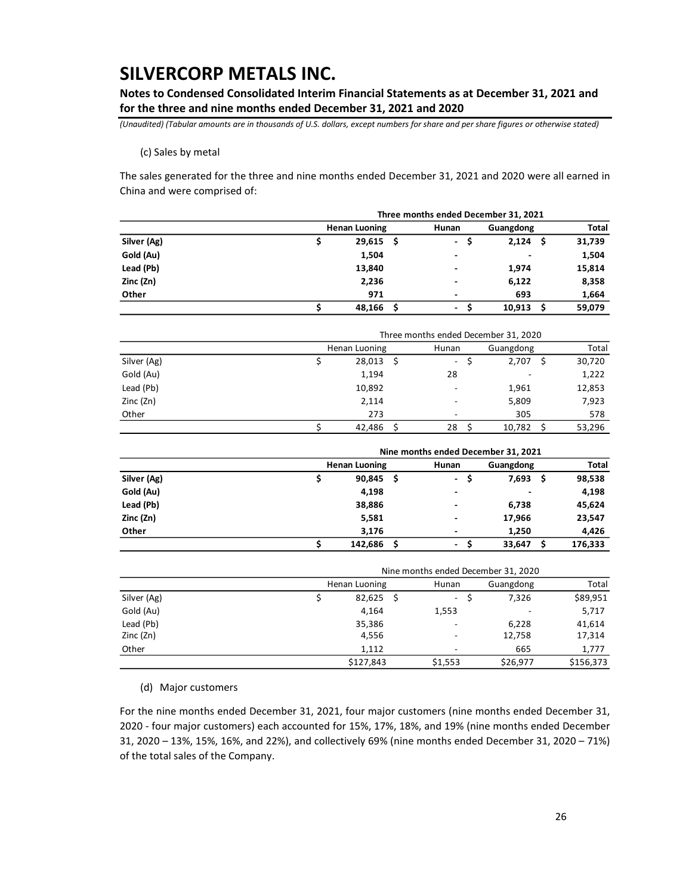**Notes to Condensed Consolidated Interim Financial Statements as at December 31, 2021 and for the three and nine months ended December 31, 2021 and 2020**

*(Unaudited) (Tabular amounts are in thousands of U.S. dollars, except numbers for share and per share figures or otherwise stated)*

(c) Sales by metal

The sales generated for the three and nine months ended December 31, 2021 and 2020 were all earned in China and were comprised of:

|             |                      | Three months ended December 31, 2021 |            |        |  |  |  |  |  |  |  |
|-------------|----------------------|--------------------------------------|------------|--------|--|--|--|--|--|--|--|
|             | <b>Henan Luoning</b> | Hunan                                | Guangdong  | Total  |  |  |  |  |  |  |  |
| Silver (Ag) | $29,615$ \$          | S<br>$\sim$                          | 2,124<br>Ŝ | 31,739 |  |  |  |  |  |  |  |
| Gold (Au)   | 1,504                | ۰                                    | $\,$       | 1,504  |  |  |  |  |  |  |  |
| Lead (Pb)   | 13,840               |                                      | 1,974      | 15,814 |  |  |  |  |  |  |  |
| Zinc (Zn)   | 2,236                |                                      | 6,122      | 8,358  |  |  |  |  |  |  |  |
| Other       | 971                  |                                      | 693        | 1,664  |  |  |  |  |  |  |  |
|             | 48,166<br>-Ś         | ٠                                    | 10,913     | 59.079 |  |  |  |  |  |  |  |

|             |               |                          | Three months ended December 31, 2020 |        |
|-------------|---------------|--------------------------|--------------------------------------|--------|
|             | Henan Luoning | Hunan                    | Guangdong                            | Total  |
| Silver (Ag) | $28,013$ \$   | $\overline{\phantom{a}}$ | 2,707                                | 30,720 |
| Gold (Au)   | 1,194         | 28                       |                                      | 1,222  |
| Lead (Pb)   | 10,892        |                          | 1,961                                | 12,853 |
| Zinc (Zn)   | 2,114         |                          | 5,809                                | 7,923  |
| Other       | 273           |                          | 305                                  | 578    |
|             | 42.486        | 28                       | 10,782                               | 53,296 |

|             |                      |       | Nine months ended December 31, 2021<br>Guangdong<br>7,693<br>$\overline{\phantom{0}}$<br>S<br>S<br>$\overline{\phantom{0}}$<br>-<br>6,738<br>$\overline{\phantom{0}}$<br>17,966<br>$\overline{\phantom{0}}$<br>1,250<br>$\overline{\phantom{0}}$ |              |  |  |  |  |
|-------------|----------------------|-------|--------------------------------------------------------------------------------------------------------------------------------------------------------------------------------------------------------------------------------------------------|--------------|--|--|--|--|
|             | <b>Henan Luoning</b> | Hunan |                                                                                                                                                                                                                                                  | <b>Total</b> |  |  |  |  |
| Silver (Ag) | $90,845$ \$          |       |                                                                                                                                                                                                                                                  | 98,538       |  |  |  |  |
| Gold (Au)   | 4,198                |       |                                                                                                                                                                                                                                                  | 4,198        |  |  |  |  |
| Lead (Pb)   | 38,886               |       |                                                                                                                                                                                                                                                  | 45,624       |  |  |  |  |
| Zinc (Zn)   | 5,581                |       |                                                                                                                                                                                                                                                  | 23,547       |  |  |  |  |
| Other       | 3,176                |       |                                                                                                                                                                                                                                                  | 4,426        |  |  |  |  |
|             | 142,686<br>Ŝ         | ۰     | 33,647                                                                                                                                                                                                                                           | 176,333      |  |  |  |  |

|             |               | Nine months ended December 31, 2020 |                          |           |
|-------------|---------------|-------------------------------------|--------------------------|-----------|
|             | Henan Luoning | Hunan                               | Guangdong                | Total     |
| Silver (Ag) | $82,625$ \$   | $\sim 10^{-1}$                      | 7,326                    | \$89,951  |
| Gold (Au)   | 4,164         | 1,553                               | $\overline{\phantom{a}}$ | 5,717     |
| Lead (Pb)   | 35,386        |                                     | 6,228                    | 41,614    |
| Zinc (Zn)   | 4,556         |                                     | 12,758                   | 17,314    |
| Other       | 1.112         |                                     | 665                      | 1,777     |
|             | \$127,843     | \$1,553                             | \$26,977                 | \$156,373 |

(d) Major customers

For the nine months ended December 31, 2021, four major customers (nine months ended December 31, 2020 - four major customers) each accounted for 15%, 17%, 18%, and 19% (nine months ended December 31, 2020 – 13%, 15%, 16%, and 22%), and collectively 69% (nine months ended December 31, 2020 – 71%) of the total sales of the Company.